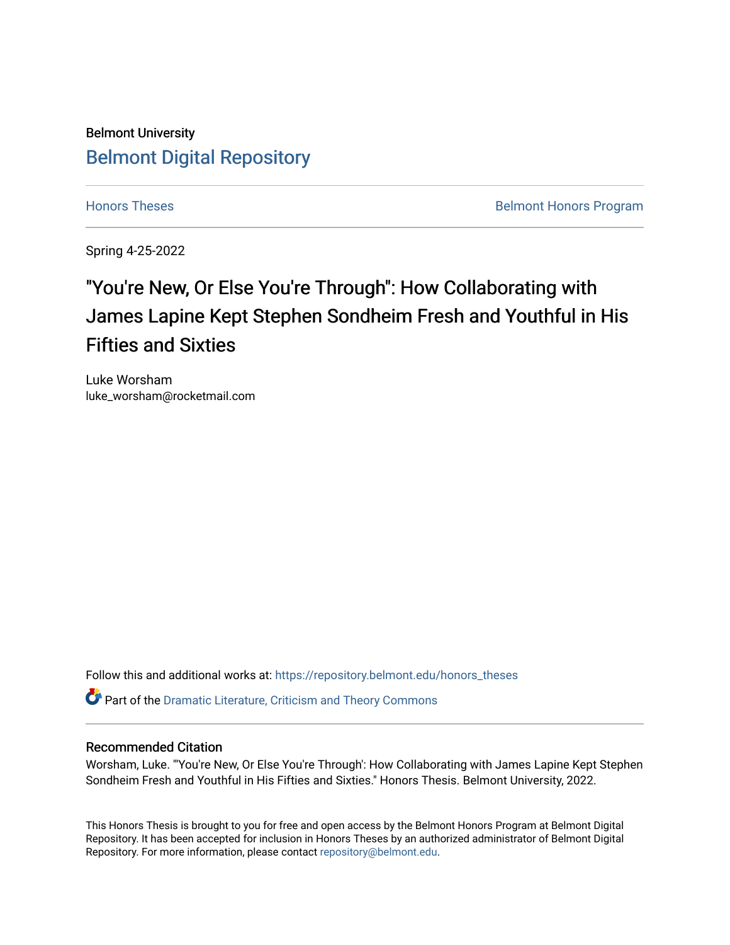Belmont University [Belmont Digital Repository](https://repository.belmont.edu/)

[Honors Theses](https://repository.belmont.edu/honors_theses) **Belmont Honors Program** 

Spring 4-25-2022

# "You're New, Or Else You're Through": How Collaborating with James Lapine Kept Stephen Sondheim Fresh and Youthful in His Fifties and Sixties

Luke Worsham luke\_worsham@rocketmail.com

Follow this and additional works at: [https://repository.belmont.edu/honors\\_theses](https://repository.belmont.edu/honors_theses?utm_source=repository.belmont.edu%2Fhonors_theses%2F76&utm_medium=PDF&utm_campaign=PDFCoverPages) 

Part of the [Dramatic Literature, Criticism and Theory Commons](http://network.bepress.com/hgg/discipline/555?utm_source=repository.belmont.edu%2Fhonors_theses%2F76&utm_medium=PDF&utm_campaign=PDFCoverPages)

### Recommended Citation

Worsham, Luke. "'You're New, Or Else You're Through': How Collaborating with James Lapine Kept Stephen Sondheim Fresh and Youthful in His Fifties and Sixties." Honors Thesis. Belmont University, 2022.

This Honors Thesis is brought to you for free and open access by the Belmont Honors Program at Belmont Digital Repository. It has been accepted for inclusion in Honors Theses by an authorized administrator of Belmont Digital Repository. For more information, please contact [repository@belmont.edu.](mailto:repository@belmont.edu)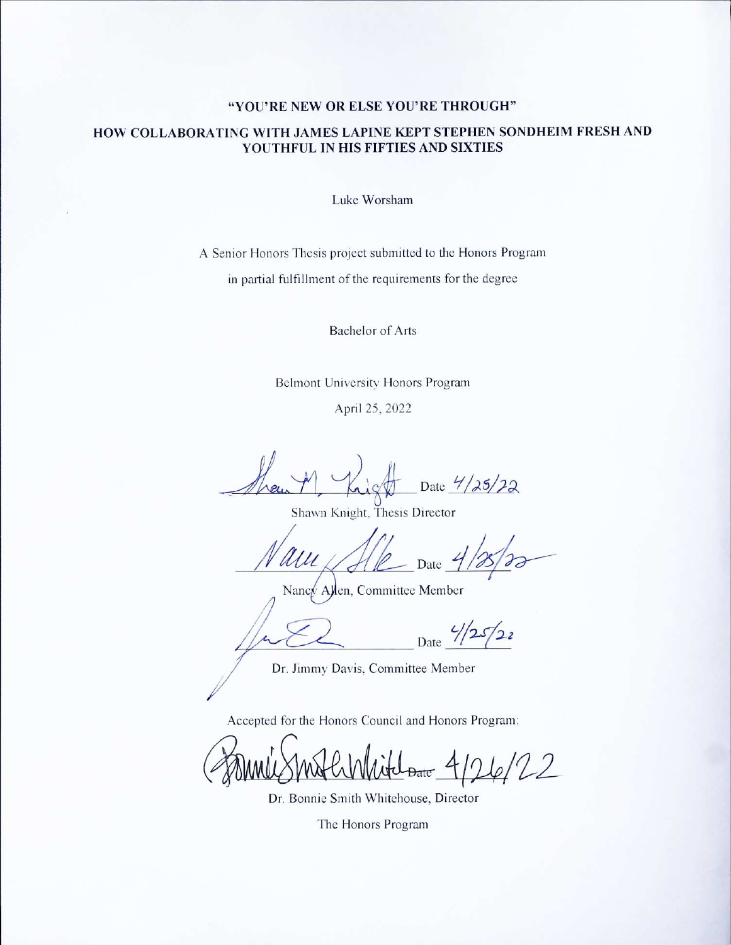### "YOU'RE NEW OR ELSE YOU'RE THROUGH"

# HOW COLLABORATING WITH JAMES LAPINE KEPT STEPHEN SONDHEIM FRESH AND YOUTHFUL IN HIS FIFTIES AND SIXTIES

Luke Worsham

A Senior Honors Thesis project submitted to the Honors Program

in partial fulfillment of the requirements for the degree

**Bachelor of Arts** 

Belmont University Honors Program

April 25, 2022

Date  $\frac{4}{25/22}$ 

Shawn Knight, Thesis Director

uu Date

Nancy Allen, Committee Member

Date

Dr. Jimmy Davis, Committee Member

Accepted for the Honors Council and Honors Program:

22

Dr. Bonnie Smith Whitehouse, Director

The Honors Program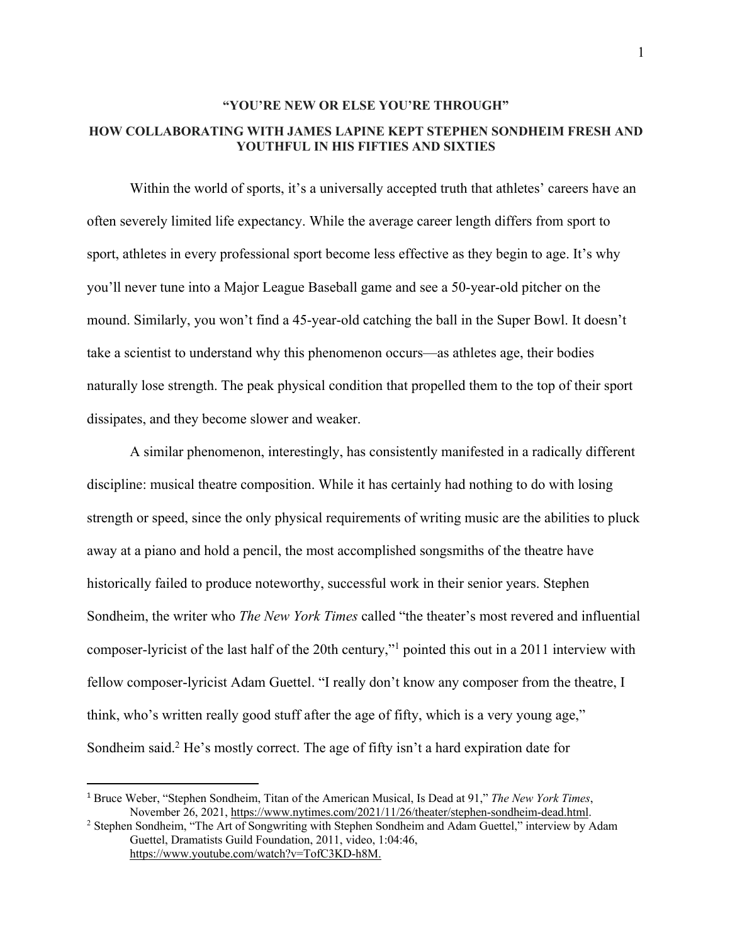# **"YOU'RE NEW OR ELSE YOU'RE THROUGH" HOW COLLABORATING WITH JAMES LAPINE KEPT STEPHEN SONDHEIM FRESH AND YOUTHFUL IN HIS FIFTIES AND SIXTIES**

Within the world of sports, it's a universally accepted truth that athletes' careers have an often severely limited life expectancy. While the average career length differs from sport to sport, athletes in every professional sport become less effective as they begin to age. It's why you'll never tune into a Major League Baseball game and see a 50-year-old pitcher on the mound. Similarly, you won't find a 45-year-old catching the ball in the Super Bowl. It doesn't take a scientist to understand why this phenomenon occurs—as athletes age, their bodies naturally lose strength. The peak physical condition that propelled them to the top of their sport dissipates, and they become slower and weaker.

 A similar phenomenon, interestingly, has consistently manifested in a radically different discipline: musical theatre composition. While it has certainly had nothing to do with losing strength or speed, since the only physical requirements of writing music are the abilities to pluck away at a piano and hold a pencil, the most accomplished songsmiths of the theatre have historically failed to produce noteworthy, successful work in their senior years. Stephen Sondheim, the writer who *The New York Times* called "the theater's most revered and influential composer-lyricist of the last half of the 20th century,"<sup>1</sup> pointed this out in a 2011 interview with fellow composer-lyricist Adam Guettel. "I really don't know any composer from the theatre, I think, who's written really good stuff after the age of fifty, which is a very young age," Sondheim said.<sup>2</sup> He's mostly correct. The age of fifty isn't a hard expiration date for

<sup>1</sup> Bruce Weber, "Stephen Sondheim, Titan of the American Musical, Is Dead at 91," *The New York Times*, November 26, 2021, https://www.nytimes.com/2021/11/26/theater/stephen-sondheim-dead.html.

<sup>&</sup>lt;sup>2</sup> Stephen Sondheim, "The Art of Songwriting with Stephen Sondheim and Adam Guettel," interview by Adam Guettel, Dramatists Guild Foundation, 2011, video, 1:04:46, https://www.youtube.com/watch?v=TofC3KD-h8M.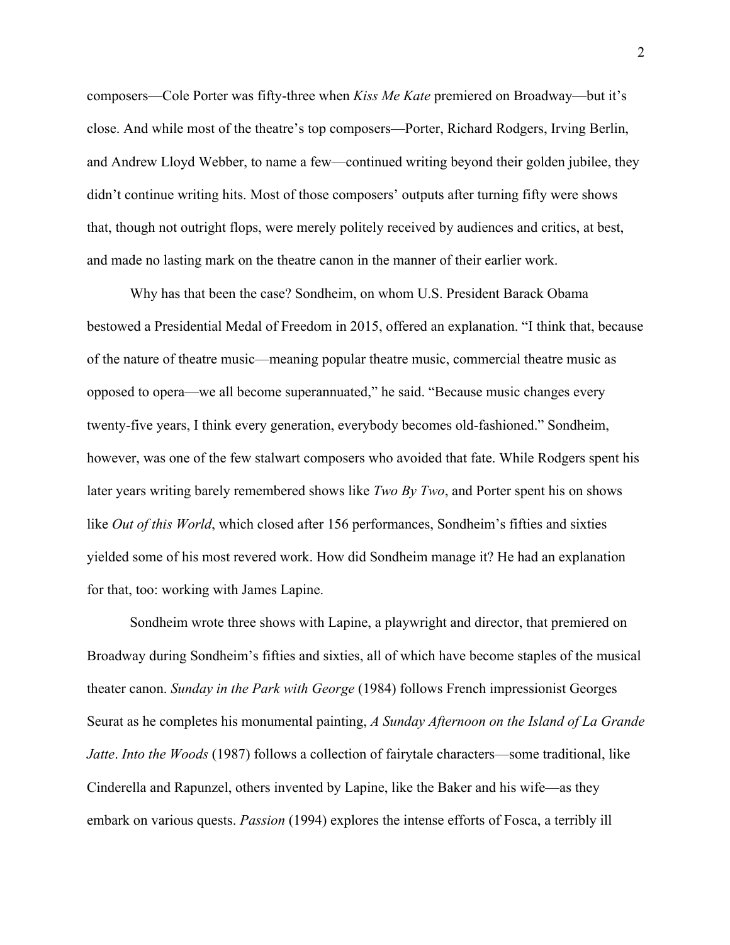composers—Cole Porter was fifty-three when *Kiss Me Kate* premiered on Broadway—but it's close. And while most of the theatre's top composers—Porter, Richard Rodgers, Irving Berlin, and Andrew Lloyd Webber, to name a few—continued writing beyond their golden jubilee, they didn't continue writing hits. Most of those composers' outputs after turning fifty were shows that, though not outright flops, were merely politely received by audiences and critics, at best, and made no lasting mark on the theatre canon in the manner of their earlier work.

 Why has that been the case? Sondheim, on whom U.S. President Barack Obama bestowed a Presidential Medal of Freedom in 2015, offered an explanation. "I think that, because of the nature of theatre music—meaning popular theatre music, commercial theatre music as opposed to opera—we all become superannuated," he said. "Because music changes every twenty-five years, I think every generation, everybody becomes old-fashioned." Sondheim, however, was one of the few stalwart composers who avoided that fate. While Rodgers spent his later years writing barely remembered shows like *Two By Two*, and Porter spent his on shows like *Out of this World*, which closed after 156 performances, Sondheim's fifties and sixties yielded some of his most revered work. How did Sondheim manage it? He had an explanation for that, too: working with James Lapine.

 Sondheim wrote three shows with Lapine, a playwright and director, that premiered on Broadway during Sondheim's fifties and sixties, all of which have become staples of the musical theater canon. *Sunday in the Park with George* (1984) follows French impressionist Georges Seurat as he completes his monumental painting, *A Sunday Afternoon on the Island of La Grande Jatte*. *Into the Woods* (1987) follows a collection of fairytale characters—some traditional, like Cinderella and Rapunzel, others invented by Lapine, like the Baker and his wife—as they embark on various quests. *Passion* (1994) explores the intense efforts of Fosca, a terribly ill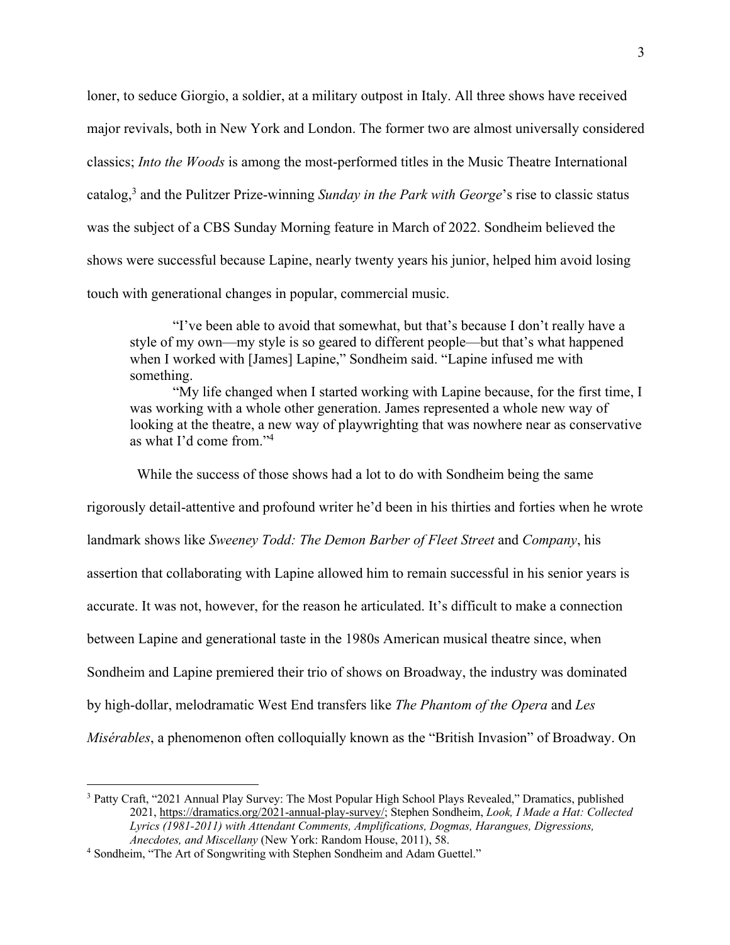loner, to seduce Giorgio, a soldier, at a military outpost in Italy. All three shows have received major revivals, both in New York and London. The former two are almost universally considered classics; *Into the Woods* is among the most-performed titles in the Music Theatre International catalog,<sup>3</sup> and the Pulitzer Prize-winning *Sunday in the Park with George*'s rise to classic status was the subject of a CBS Sunday Morning feature in March of 2022. Sondheim believed the shows were successful because Lapine, nearly twenty years his junior, helped him avoid losing touch with generational changes in popular, commercial music.

 "I've been able to avoid that somewhat, but that's because I don't really have a style of my own—my style is so geared to different people—but that's what happened when I worked with [James] Lapine," Sondheim said. "Lapine infused me with something.

 "My life changed when I started working with Lapine because, for the first time, I was working with a whole other generation. James represented a whole new way of looking at the theatre, a new way of playwrighting that was nowhere near as conservative as what I'd come from."<sup>4</sup>

While the success of those shows had a lot to do with Sondheim being the same

rigorously detail-attentive and profound writer he'd been in his thirties and forties when he wrote landmark shows like *Sweeney Todd: The Demon Barber of Fleet Street* and *Company*, his assertion that collaborating with Lapine allowed him to remain successful in his senior years is accurate. It was not, however, for the reason he articulated. It's difficult to make a connection between Lapine and generational taste in the 1980s American musical theatre since, when Sondheim and Lapine premiered their trio of shows on Broadway, the industry was dominated by high-dollar, melodramatic West End transfers like *The Phantom of the Opera* and *Les Misérables*, a phenomenon often colloquially known as the "British Invasion" of Broadway. On

<sup>3</sup> Patty Craft, "2021 Annual Play Survey: The Most Popular High School Plays Revealed," Dramatics, published 2021, https://dramatics.org/2021-annual-play-survey/; Stephen Sondheim, *Look, I Made a Hat: Collected Lyrics (1981-2011) with Attendant Comments, Amplifications, Dogmas, Harangues, Digressions, Anecdotes, and Miscellany* (New York: Random House, 2011), 58.

<sup>4</sup> Sondheim, "The Art of Songwriting with Stephen Sondheim and Adam Guettel."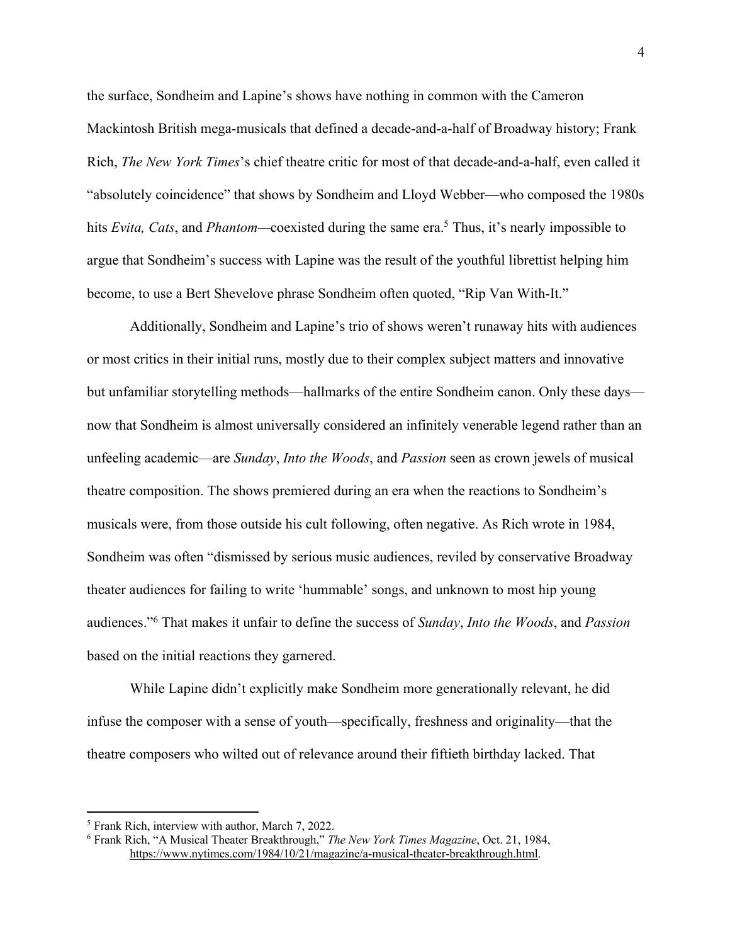the surface, Sondheim and Lapine's shows have nothing in common with the Cameron Mackintosh British mega-musicals that defined a decade-and-a-half of Broadway history; Frank Rich, *The New York Times*'s chief theatre critic for most of that decade-and-a-half, even called it "absolutely coincidence" that shows by Sondheim and Lloyd Webber—who composed the 1980s hits *Evita, Cats*, and *Phantom*—coexisted during the same era.<sup>5</sup> Thus, it's nearly impossible to argue that Sondheim's success with Lapine was the result of the youthful librettist helping him become, to use a Bert Shevelove phrase Sondheim often quoted, "Rip Van With-It."

Additionally, Sondheim and Lapine's trio of shows weren't runaway hits with audiences or most critics in their initial runs, mostly due to their complex subject matters and innovative but unfamiliar storytelling methods—hallmarks of the entire Sondheim canon. Only these days now that Sondheim is almost universally considered an infinitely venerable legend rather than an unfeeling academic—are *Sunday*, *Into the Woods*, and *Passion* seen as crown jewels of musical theatre composition. The shows premiered during an era when the reactions to Sondheim's musicals were, from those outside his cult following, often negative. As Rich wrote in 1984, Sondheim was often "dismissed by serious music audiences, reviled by conservative Broadway theater audiences for failing to write 'hummable' songs, and unknown to most hip young audiences."<sup>6</sup> That makes it unfair to define the success of *Sunday*, *Into the Woods*, and *Passion* based on the initial reactions they garnered.

 While Lapine didn't explicitly make Sondheim more generationally relevant, he did infuse the composer with a sense of youth—specifically, freshness and originality—that the theatre composers who wilted out of relevance around their fiftieth birthday lacked. That

<sup>5</sup> Frank Rich, interview with author, March 7, 2022.

<sup>6</sup> Frank Rich, "A Musical Theater Breakthrough," *The New York Times Magazine*, Oct. 21, 1984, https://www.nytimes.com/1984/10/21/magazine/a-musical-theater-breakthrough.html.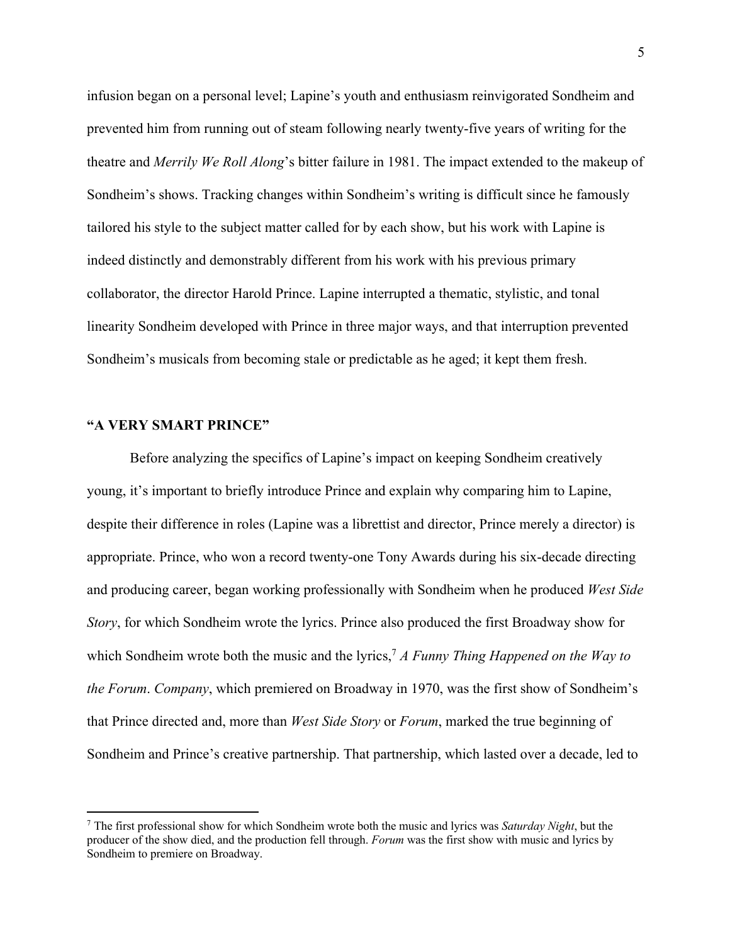infusion began on a personal level; Lapine's youth and enthusiasm reinvigorated Sondheim and prevented him from running out of steam following nearly twenty-five years of writing for the theatre and *Merrily We Roll Along*'s bitter failure in 1981. The impact extended to the makeup of Sondheim's shows. Tracking changes within Sondheim's writing is difficult since he famously tailored his style to the subject matter called for by each show, but his work with Lapine is indeed distinctly and demonstrably different from his work with his previous primary collaborator, the director Harold Prince. Lapine interrupted a thematic, stylistic, and tonal linearity Sondheim developed with Prince in three major ways, and that interruption prevented Sondheim's musicals from becoming stale or predictable as he aged; it kept them fresh.

### **"A VERY SMART PRINCE"**

Before analyzing the specifics of Lapine's impact on keeping Sondheim creatively young, it's important to briefly introduce Prince and explain why comparing him to Lapine, despite their difference in roles (Lapine was a librettist and director, Prince merely a director) is appropriate. Prince, who won a record twenty-one Tony Awards during his six-decade directing and producing career, began working professionally with Sondheim when he produced *West Side Story*, for which Sondheim wrote the lyrics. Prince also produced the first Broadway show for which Sondheim wrote both the music and the lyrics,<sup>7</sup> *A Funny Thing Happened on the Way to the Forum*. *Company*, which premiered on Broadway in 1970, was the first show of Sondheim's that Prince directed and, more than *West Side Story* or *Forum*, marked the true beginning of Sondheim and Prince's creative partnership. That partnership, which lasted over a decade, led to

<sup>7</sup> The first professional show for which Sondheim wrote both the music and lyrics was *Saturday Night*, but the producer of the show died, and the production fell through. *Forum* was the first show with music and lyrics by Sondheim to premiere on Broadway.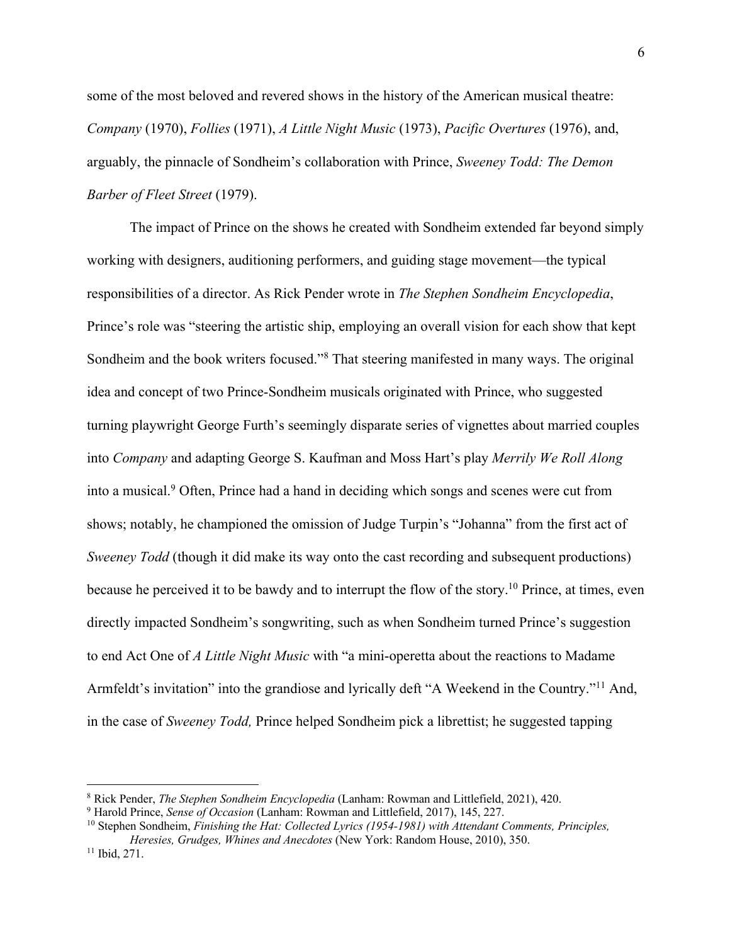some of the most beloved and revered shows in the history of the American musical theatre: *Company* (1970), *Follies* (1971), *A Little Night Music* (1973), *Pacific Overtures* (1976), and, arguably, the pinnacle of Sondheim's collaboration with Prince, *Sweeney Todd: The Demon Barber of Fleet Street* (1979).

The impact of Prince on the shows he created with Sondheim extended far beyond simply working with designers, auditioning performers, and guiding stage movement—the typical responsibilities of a director. As Rick Pender wrote in *The Stephen Sondheim Encyclopedia*, Prince's role was "steering the artistic ship, employing an overall vision for each show that kept Sondheim and the book writers focused."<sup>8</sup> That steering manifested in many ways. The original idea and concept of two Prince-Sondheim musicals originated with Prince, who suggested turning playwright George Furth's seemingly disparate series of vignettes about married couples into *Company* and adapting George S. Kaufman and Moss Hart's play *Merrily We Roll Along*  into a musical.<sup>9</sup> Often, Prince had a hand in deciding which songs and scenes were cut from shows; notably, he championed the omission of Judge Turpin's "Johanna" from the first act of *Sweeney Todd* (though it did make its way onto the cast recording and subsequent productions) because he perceived it to be bawdy and to interrupt the flow of the story.<sup>10</sup> Prince, at times, even directly impacted Sondheim's songwriting, such as when Sondheim turned Prince's suggestion to end Act One of *A Little Night Music* with "a mini-operetta about the reactions to Madame Armfeldt's invitation" into the grandiose and lyrically deft "A Weekend in the Country."<sup>11</sup> And, in the case of *Sweeney Todd,* Prince helped Sondheim pick a librettist; he suggested tapping

<sup>8</sup> Rick Pender, *The Stephen Sondheim Encyclopedia* (Lanham: Rowman and Littlefield, 2021), 420.

<sup>9</sup> Harold Prince, *Sense of Occasion* (Lanham: Rowman and Littlefield, 2017), 145, 227.

<sup>10</sup> Stephen Sondheim, *Finishing the Hat: Collected Lyrics (1954-1981) with Attendant Comments, Principles, Heresies, Grudges, Whines and Anecdotes* (New York: Random House, 2010), 350.

<sup>&</sup>lt;sup>11</sup> Ibid, 271.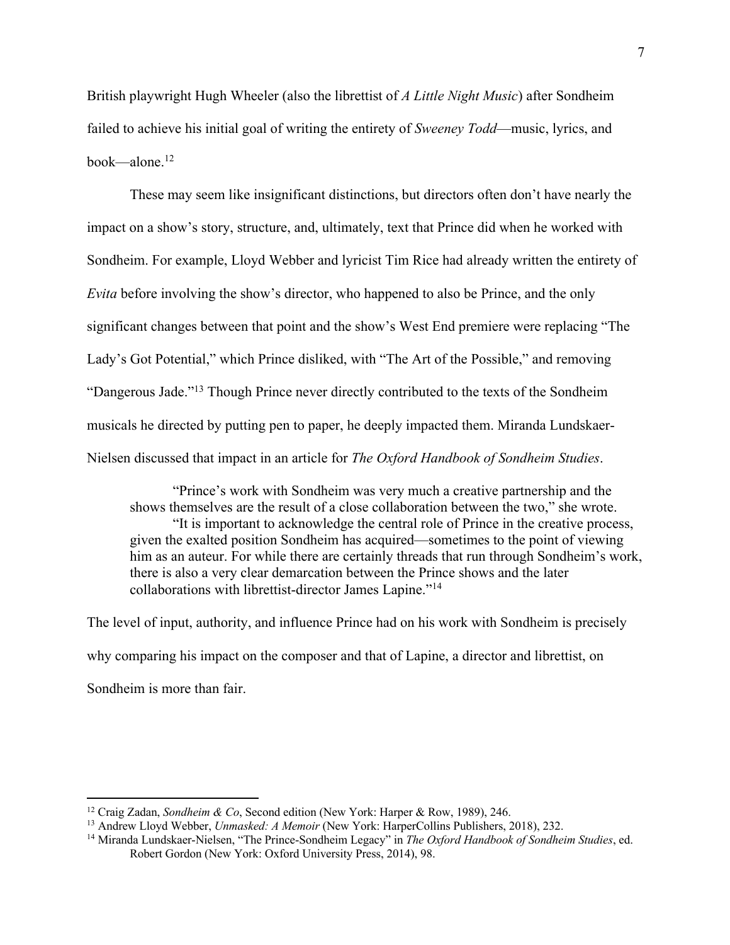British playwright Hugh Wheeler (also the librettist of *A Little Night Music*) after Sondheim failed to achieve his initial goal of writing the entirety of *Sweeney Todd*—music, lyrics, and book—alone.<sup>12</sup>

These may seem like insignificant distinctions, but directors often don't have nearly the impact on a show's story, structure, and, ultimately, text that Prince did when he worked with Sondheim. For example, Lloyd Webber and lyricist Tim Rice had already written the entirety of *Evita* before involving the show's director, who happened to also be Prince, and the only significant changes between that point and the show's West End premiere were replacing "The Lady's Got Potential," which Prince disliked, with "The Art of the Possible," and removing "Dangerous Jade."<sup>13</sup> Though Prince never directly contributed to the texts of the Sondheim musicals he directed by putting pen to paper, he deeply impacted them. Miranda Lundskaer-Nielsen discussed that impact in an article for *The Oxford Handbook of Sondheim Studies*.

 "Prince's work with Sondheim was very much a creative partnership and the shows themselves are the result of a close collaboration between the two," she wrote. "It is important to acknowledge the central role of Prince in the creative process, given the exalted position Sondheim has acquired—sometimes to the point of viewing him as an auteur. For while there are certainly threads that run through Sondheim's work, there is also a very clear demarcation between the Prince shows and the later collaborations with librettist-director James Lapine."<sup>14</sup>

The level of input, authority, and influence Prince had on his work with Sondheim is precisely why comparing his impact on the composer and that of Lapine, a director and librettist, on Sondheim is more than fair.

<sup>12</sup> Craig Zadan, *Sondheim & Co*, Second edition (New York: Harper & Row, 1989), 246.

<sup>13</sup> Andrew Lloyd Webber, *Unmasked: A Memoir* (New York: HarperCollins Publishers, 2018), 232.

<sup>14</sup> Miranda Lundskaer-Nielsen, "The Prince-Sondheim Legacy" in *The Oxford Handbook of Sondheim Studies*, ed. Robert Gordon (New York: Oxford University Press, 2014), 98.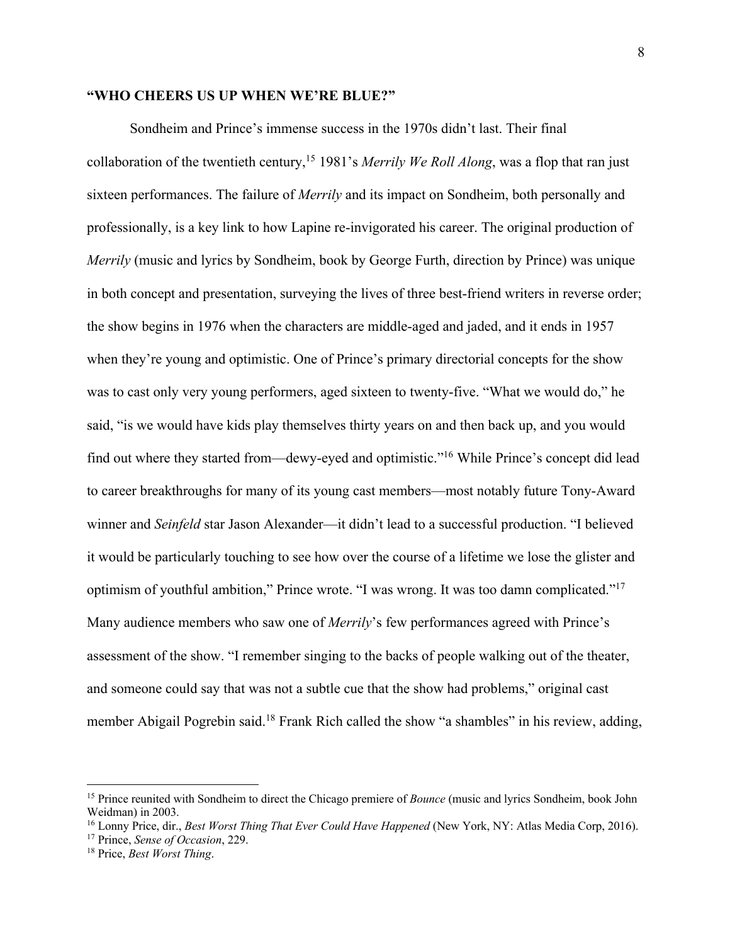### **"WHO CHEERS US UP WHEN WE'RE BLUE?"**

 Sondheim and Prince's immense success in the 1970s didn't last. Their final collaboration of the twentieth century,<sup>15</sup> 1981's *Merrily We Roll Along*, was a flop that ran just sixteen performances. The failure of *Merrily* and its impact on Sondheim, both personally and professionally, is a key link to how Lapine re-invigorated his career. The original production of *Merrily* (music and lyrics by Sondheim, book by George Furth, direction by Prince) was unique in both concept and presentation, surveying the lives of three best-friend writers in reverse order; the show begins in 1976 when the characters are middle-aged and jaded, and it ends in 1957 when they're young and optimistic. One of Prince's primary directorial concepts for the show was to cast only very young performers, aged sixteen to twenty-five. "What we would do," he said, "is we would have kids play themselves thirty years on and then back up, and you would find out where they started from—dewy-eyed and optimistic."<sup>16</sup> While Prince's concept did lead to career breakthroughs for many of its young cast members—most notably future Tony-Award winner and *Seinfeld* star Jason Alexander—it didn't lead to a successful production. "I believed it would be particularly touching to see how over the course of a lifetime we lose the glister and optimism of youthful ambition," Prince wrote. "I was wrong. It was too damn complicated."<sup>17</sup> Many audience members who saw one of *Merrily*'s few performances agreed with Prince's assessment of the show. "I remember singing to the backs of people walking out of the theater, and someone could say that was not a subtle cue that the show had problems," original cast member Abigail Pogrebin said.<sup>18</sup> Frank Rich called the show "a shambles" in his review, adding,

<sup>15</sup> Prince reunited with Sondheim to direct the Chicago premiere of *Bounce* (music and lyrics Sondheim, book John Weidman) in 2003.

<sup>&</sup>lt;sup>16</sup> Lonny Price, dir., *Best Worst Thing That Ever Could Have Happened* (New York, NY: Atlas Media Corp, 2016).

<sup>17</sup> Prince, *Sense of Occasion*, 229.

<sup>18</sup> Price, *Best Worst Thing*.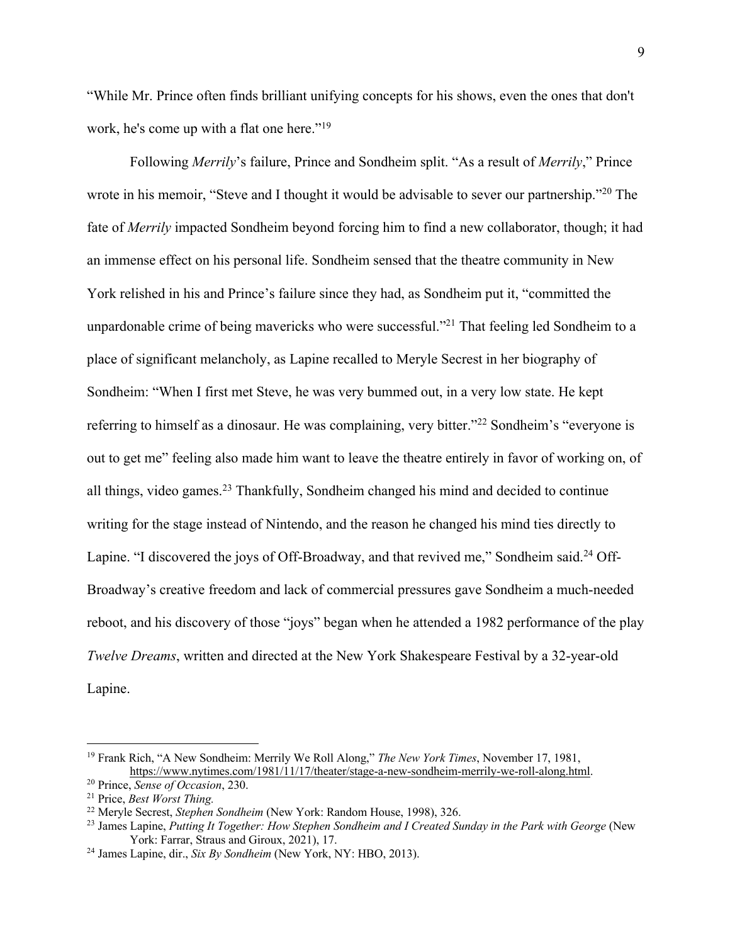"While Mr. Prince often finds brilliant unifying concepts for his shows, even the ones that don't work, he's come up with a flat one here."<sup>19</sup>

Following *Merrily*'s failure, Prince and Sondheim split. "As a result of *Merrily*," Prince wrote in his memoir, "Steve and I thought it would be advisable to sever our partnership."<sup>20</sup> The fate of *Merrily* impacted Sondheim beyond forcing him to find a new collaborator, though; it had an immense effect on his personal life. Sondheim sensed that the theatre community in New York relished in his and Prince's failure since they had, as Sondheim put it, "committed the unpardonable crime of being mavericks who were successful."<sup>21</sup> That feeling led Sondheim to a place of significant melancholy, as Lapine recalled to Meryle Secrest in her biography of Sondheim: "When I first met Steve, he was very bummed out, in a very low state. He kept referring to himself as a dinosaur. He was complaining, very bitter."<sup>22</sup> Sondheim's "everyone is out to get me" feeling also made him want to leave the theatre entirely in favor of working on, of all things, video games.<sup>23</sup> Thankfully, Sondheim changed his mind and decided to continue writing for the stage instead of Nintendo, and the reason he changed his mind ties directly to Lapine. "I discovered the joys of Off-Broadway, and that revived me," Sondheim said.<sup>24</sup> Off-Broadway's creative freedom and lack of commercial pressures gave Sondheim a much-needed reboot, and his discovery of those "joys" began when he attended a 1982 performance of the play *Twelve Dreams*, written and directed at the New York Shakespeare Festival by a 32-year-old Lapine.

<sup>19</sup> Frank Rich, "A New Sondheim: Merrily We Roll Along," *The New York Times*, November 17, 1981, https://www.nytimes.com/1981/11/17/theater/stage-a-new-sondheim-merrily-we-roll-along.html.

<sup>20</sup> Prince, *Sense of Occasion*, 230.

<sup>21</sup> Price, *Best Worst Thing.* 

<sup>22</sup> Meryle Secrest, *Stephen Sondheim* (New York: Random House, 1998), 326.

<sup>23</sup> James Lapine, *Putting It Together: How Stephen Sondheim and I Created Sunday in the Park with George* (New York: Farrar, Straus and Giroux, 2021), 17.

<sup>24</sup> James Lapine, dir., *Six By Sondheim* (New York, NY: HBO, 2013).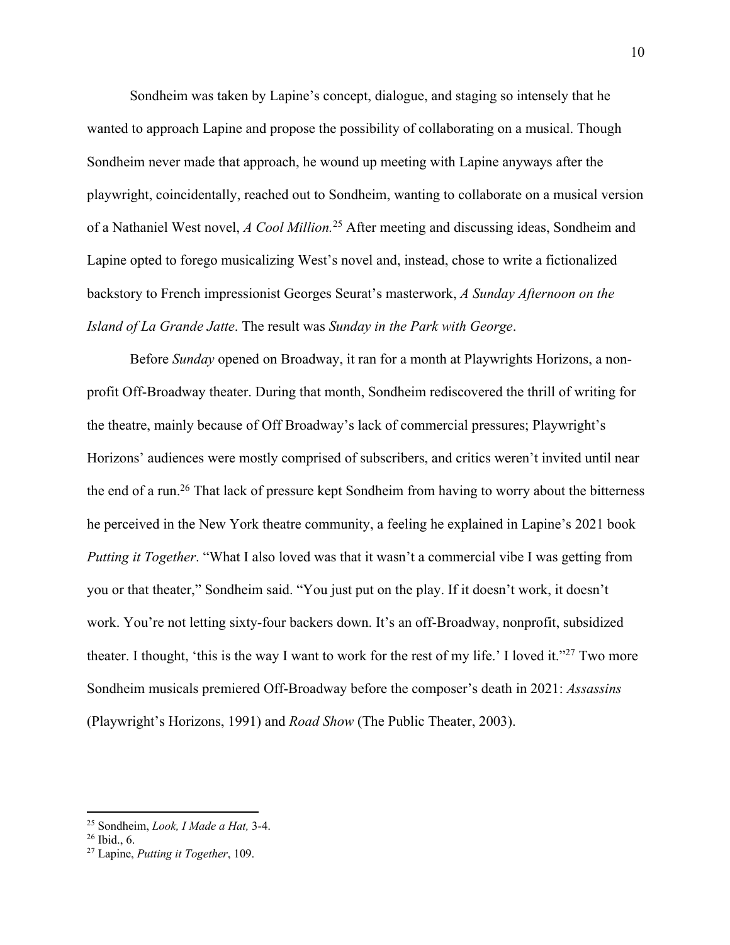Sondheim was taken by Lapine's concept, dialogue, and staging so intensely that he wanted to approach Lapine and propose the possibility of collaborating on a musical. Though Sondheim never made that approach, he wound up meeting with Lapine anyways after the playwright, coincidentally, reached out to Sondheim, wanting to collaborate on a musical version of a Nathaniel West novel, *A Cool Million.*<sup>25</sup> After meeting and discussing ideas, Sondheim and Lapine opted to forego musicalizing West's novel and, instead, chose to write a fictionalized backstory to French impressionist Georges Seurat's masterwork, *A Sunday Afternoon on the Island of La Grande Jatte*. The result was *Sunday in the Park with George*.

Before *Sunday* opened on Broadway, it ran for a month at Playwrights Horizons, a nonprofit Off-Broadway theater. During that month, Sondheim rediscovered the thrill of writing for the theatre, mainly because of Off Broadway's lack of commercial pressures; Playwright's Horizons' audiences were mostly comprised of subscribers, and critics weren't invited until near the end of a run.<sup>26</sup> That lack of pressure kept Sondheim from having to worry about the bitterness he perceived in the New York theatre community, a feeling he explained in Lapine's 2021 book *Putting it Together*. "What I also loved was that it wasn't a commercial vibe I was getting from you or that theater," Sondheim said. "You just put on the play. If it doesn't work, it doesn't work. You're not letting sixty-four backers down. It's an off-Broadway, nonprofit, subsidized theater. I thought, 'this is the way I want to work for the rest of my life.' I loved it."<sup>27</sup> Two more Sondheim musicals premiered Off-Broadway before the composer's death in 2021: *Assassins*  (Playwright's Horizons, 1991) and *Road Show* (The Public Theater, 2003).

<sup>25</sup> Sondheim, *Look, I Made a Hat,* 3-4.

<sup>26</sup> Ibid., 6.

<sup>27</sup> Lapine, *Putting it Together*, 109.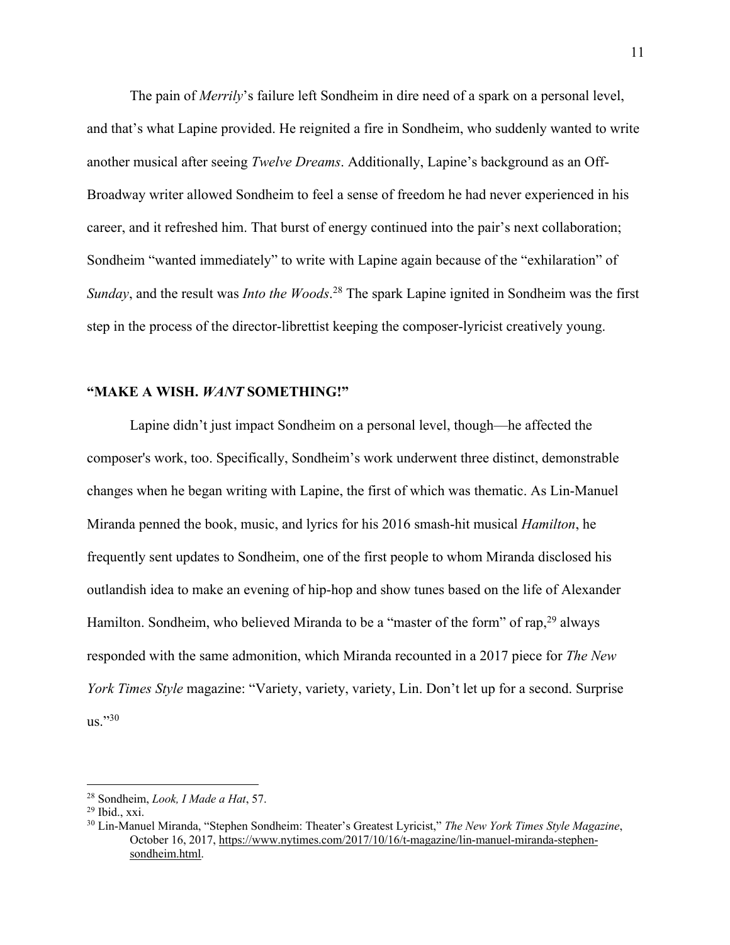The pain of *Merrily*'s failure left Sondheim in dire need of a spark on a personal level, and that's what Lapine provided. He reignited a fire in Sondheim, who suddenly wanted to write another musical after seeing *Twelve Dreams*. Additionally, Lapine's background as an Off-Broadway writer allowed Sondheim to feel a sense of freedom he had never experienced in his career, and it refreshed him. That burst of energy continued into the pair's next collaboration; Sondheim "wanted immediately" to write with Lapine again because of the "exhilaration" of *Sunday*, and the result was *Into the Woods*. <sup>28</sup> The spark Lapine ignited in Sondheim was the first step in the process of the director-librettist keeping the composer-lyricist creatively young.

### **"MAKE A WISH.** *WANT* **SOMETHING!"**

 Lapine didn't just impact Sondheim on a personal level, though—he affected the composer's work, too. Specifically, Sondheim's work underwent three distinct, demonstrable changes when he began writing with Lapine, the first of which was thematic. As Lin-Manuel Miranda penned the book, music, and lyrics for his 2016 smash-hit musical *Hamilton*, he frequently sent updates to Sondheim, one of the first people to whom Miranda disclosed his outlandish idea to make an evening of hip-hop and show tunes based on the life of Alexander Hamilton. Sondheim, who believed Miranda to be a "master of the form" of rap,  $^{29}$  always responded with the same admonition, which Miranda recounted in a 2017 piece for *The New York Times Style* magazine: "Variety, variety, variety, Lin. Don't let up for a second. Surprise us."<sup>30</sup>

<sup>28</sup> Sondheim, *Look, I Made a Hat*, 57.

 $29$  Ibid., xxi.

<sup>30</sup> Lin-Manuel Miranda, "Stephen Sondheim: Theater's Greatest Lyricist," *The New York Times Style Magazine*, October 16, 2017, https://www.nytimes.com/2017/10/16/t-magazine/lin-manuel-miranda-stephensondheim.html.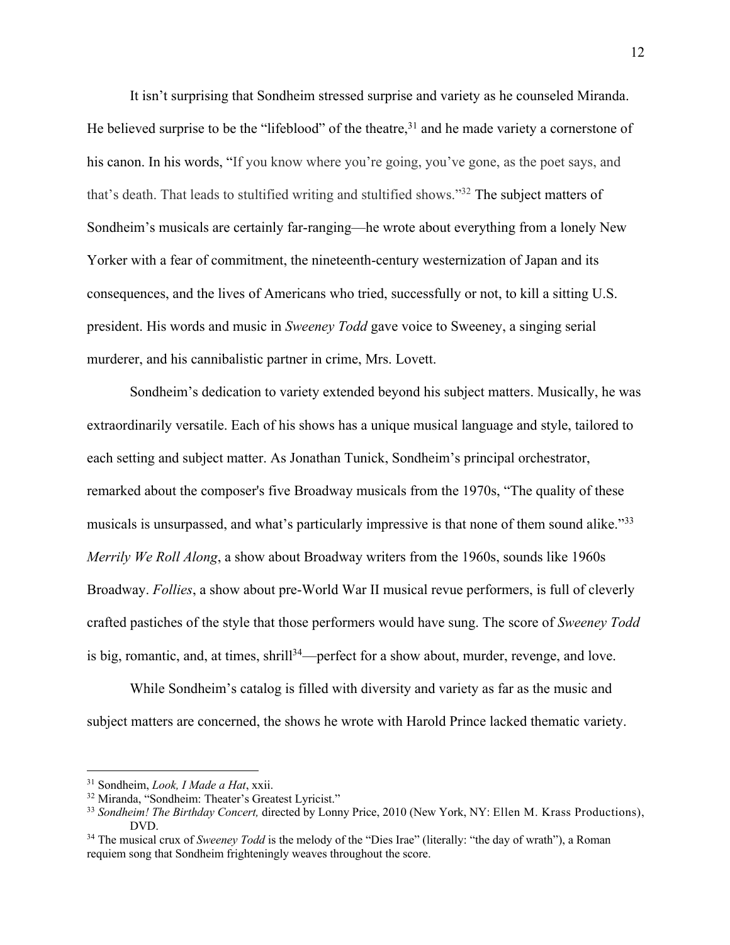It isn't surprising that Sondheim stressed surprise and variety as he counseled Miranda. He believed surprise to be the "lifeblood" of the theatre, $31$  and he made variety a cornerstone of his canon. In his words, "If you know where you're going, you've gone, as the poet says, and that's death. That leads to stultified writing and stultified shows."<sup>32</sup> The subject matters of Sondheim's musicals are certainly far-ranging—he wrote about everything from a lonely New Yorker with a fear of commitment, the nineteenth-century westernization of Japan and its consequences, and the lives of Americans who tried, successfully or not, to kill a sitting U.S. president. His words and music in *Sweeney Todd* gave voice to Sweeney, a singing serial murderer, and his cannibalistic partner in crime, Mrs. Lovett.

 Sondheim's dedication to variety extended beyond his subject matters. Musically, he was extraordinarily versatile. Each of his shows has a unique musical language and style, tailored to each setting and subject matter. As Jonathan Tunick, Sondheim's principal orchestrator, remarked about the composer's five Broadway musicals from the 1970s, "The quality of these musicals is unsurpassed, and what's particularly impressive is that none of them sound alike."<sup>33</sup> *Merrily We Roll Along*, a show about Broadway writers from the 1960s, sounds like 1960s Broadway. *Follies*, a show about pre-World War II musical revue performers, is full of cleverly crafted pastiches of the style that those performers would have sung. The score of *Sweeney Todd* is big, romantic, and, at times, shrill<sup>34</sup>—perfect for a show about, murder, revenge, and love.

 While Sondheim's catalog is filled with diversity and variety as far as the music and subject matters are concerned, the shows he wrote with Harold Prince lacked thematic variety.

<sup>31</sup> Sondheim, *Look, I Made a Hat*, xxii.

<sup>32</sup> Miranda, "Sondheim: Theater's Greatest Lyricist."

<sup>33</sup> *Sondheim! The Birthday Concert,* directed by Lonny Price, 2010 (New York, NY: Ellen M. Krass Productions), DVD.

<sup>34</sup> The musical crux of *Sweeney Todd* is the melody of the "Dies Irae" (literally: "the day of wrath"), a Roman requiem song that Sondheim frighteningly weaves throughout the score.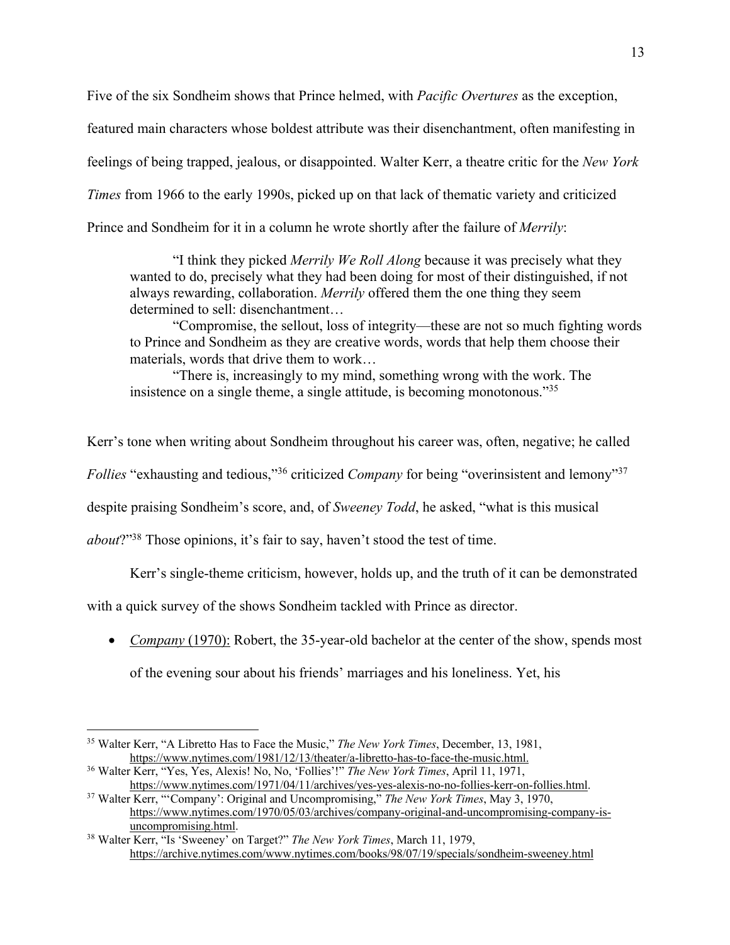Five of the six Sondheim shows that Prince helmed, with *Pacific Overtures* as the exception, featured main characters whose boldest attribute was their disenchantment, often manifesting in feelings of being trapped, jealous, or disappointed. Walter Kerr, a theatre critic for the *New York Times* from 1966 to the early 1990s, picked up on that lack of thematic variety and criticized Prince and Sondheim for it in a column he wrote shortly after the failure of *Merrily*:

"I think they picked *Merrily We Roll Along* because it was precisely what they wanted to do, precisely what they had been doing for most of their distinguished, if not always rewarding, collaboration. *Merrily* offered them the one thing they seem determined to sell: disenchantment…

"Compromise, the sellout, loss of integrity—these are not so much fighting words to Prince and Sondheim as they are creative words, words that help them choose their materials, words that drive them to work…

"There is, increasingly to my mind, something wrong with the work. The insistence on a single theme, a single attitude, is becoming monotonous."<sup>35</sup>

Kerr's tone when writing about Sondheim throughout his career was, often, negative; he called *Follies* "exhausting and tedious,"<sup>36</sup> criticized *Company* for being "overinsistent and lemony"<sup>37</sup> despite praising Sondheim's score, and, of *Sweeney Todd*, he asked, "what is this musical *about*?"<sup>38</sup> Those opinions, it's fair to say, haven't stood the test of time.

Kerr's single-theme criticism, however, holds up, and the truth of it can be demonstrated

with a quick survey of the shows Sondheim tackled with Prince as director.

• *Company* (1970): Robert, the 35-year-old bachelor at the center of the show, spends most

of the evening sour about his friends' marriages and his loneliness. Yet, his

<sup>35</sup> Walter Kerr, "A Libretto Has to Face the Music," *The New York Times*, December, 13, 1981, https://www.nytimes.com/1981/12/13/theater/a-libretto-has-to-face-the-music.html.

<sup>36</sup> Walter Kerr, "Yes, Yes, Alexis! No, No, 'Follies'!" *The New York Times*, April 11, 1971, https://www.nytimes.com/1971/04/11/archives/yes-yes-alexis-no-no-follies-kerr-on-follies.html.

<sup>37</sup> Walter Kerr, "'Company': Original and Uncompromising," *The New York Times*, May 3, 1970, https://www.nytimes.com/1970/05/03/archives/company-original-and-uncompromising-company-isuncompromising.html.

<sup>38</sup> Walter Kerr, "Is 'Sweeney' on Target?" *The New York Times*, March 11, 1979, https://archive.nytimes.com/www.nytimes.com/books/98/07/19/specials/sondheim-sweeney.html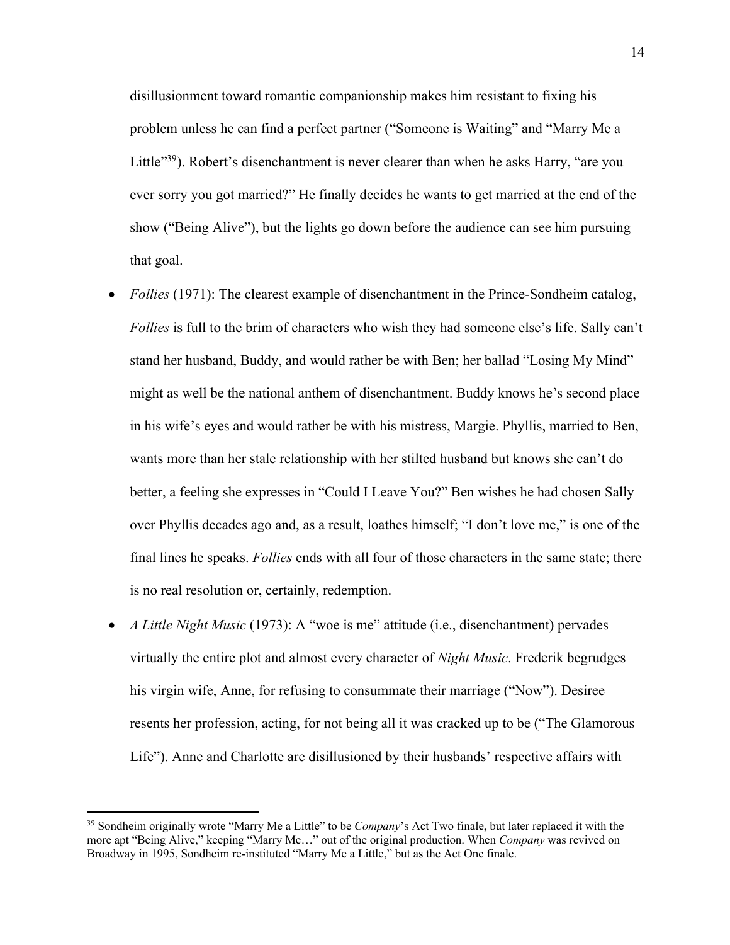disillusionment toward romantic companionship makes him resistant to fixing his problem unless he can find a perfect partner ("Someone is Waiting" and "Marry Me a Little<sup>"39</sup>). Robert's disenchantment is never clearer than when he asks Harry, "are you ever sorry you got married?" He finally decides he wants to get married at the end of the show ("Being Alive"), but the lights go down before the audience can see him pursuing that goal.

- *Follies* (1971): The clearest example of disenchantment in the Prince-Sondheim catalog, *Follies* is full to the brim of characters who wish they had someone else's life. Sally can't stand her husband, Buddy, and would rather be with Ben; her ballad "Losing My Mind" might as well be the national anthem of disenchantment. Buddy knows he's second place in his wife's eyes and would rather be with his mistress, Margie. Phyllis, married to Ben, wants more than her stale relationship with her stilted husband but knows she can't do better, a feeling she expresses in "Could I Leave You?" Ben wishes he had chosen Sally over Phyllis decades ago and, as a result, loathes himself; "I don't love me," is one of the final lines he speaks. *Follies* ends with all four of those characters in the same state; there is no real resolution or, certainly, redemption.
- *A Little Night Music* (1973): A "woe is me" attitude (i.e., disenchantment) pervades virtually the entire plot and almost every character of *Night Music*. Frederik begrudges his virgin wife, Anne, for refusing to consummate their marriage ("Now"). Desiree resents her profession, acting, for not being all it was cracked up to be ("The Glamorous Life"). Anne and Charlotte are disillusioned by their husbands' respective affairs with

<sup>&</sup>lt;sup>39</sup> Sondheim originally wrote "Marry Me a Little" to be *Company*'s Act Two finale, but later replaced it with the more apt "Being Alive," keeping "Marry Me…" out of the original production. When *Company* was revived on Broadway in 1995, Sondheim re-instituted "Marry Me a Little," but as the Act One finale.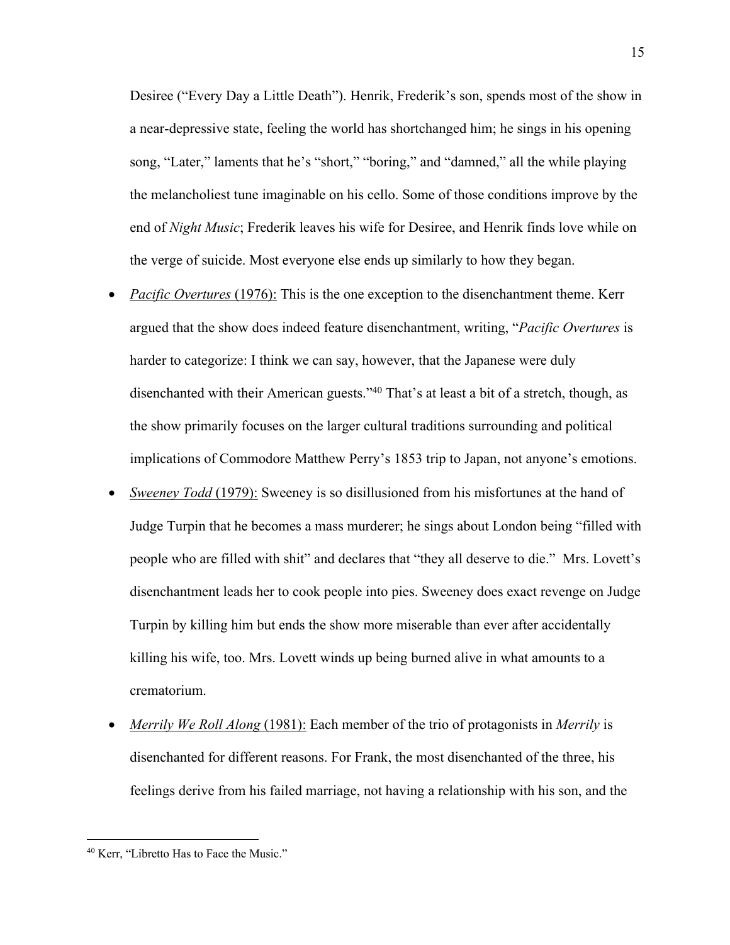Desiree ("Every Day a Little Death"). Henrik, Frederik's son, spends most of the show in a near-depressive state, feeling the world has shortchanged him; he sings in his opening song, "Later," laments that he's "short," "boring," and "damned," all the while playing the melancholiest tune imaginable on his cello. Some of those conditions improve by the end of *Night Music*; Frederik leaves his wife for Desiree, and Henrik finds love while on the verge of suicide. Most everyone else ends up similarly to how they began.

- *Pacific Overtures* (1976): This is the one exception to the disenchantment theme. Kerr argued that the show does indeed feature disenchantment, writing, "*Pacific Overtures* is harder to categorize: I think we can say, however, that the Japanese were duly disenchanted with their American guests."<sup>40</sup> That's at least a bit of a stretch, though, as the show primarily focuses on the larger cultural traditions surrounding and political implications of Commodore Matthew Perry's 1853 trip to Japan, not anyone's emotions.
- *Sweeney Todd* (1979): Sweeney is so disillusioned from his misfortunes at the hand of Judge Turpin that he becomes a mass murderer; he sings about London being "filled with people who are filled with shit" and declares that "they all deserve to die." Mrs. Lovett's disenchantment leads her to cook people into pies. Sweeney does exact revenge on Judge Turpin by killing him but ends the show more miserable than ever after accidentally killing his wife, too. Mrs. Lovett winds up being burned alive in what amounts to a crematorium.
- *Merrily We Roll Along* (1981): Each member of the trio of protagonists in *Merrily* is disenchanted for different reasons. For Frank, the most disenchanted of the three, his feelings derive from his failed marriage, not having a relationship with his son, and the

<sup>15</sup>

<sup>40</sup> Kerr, "Libretto Has to Face the Music."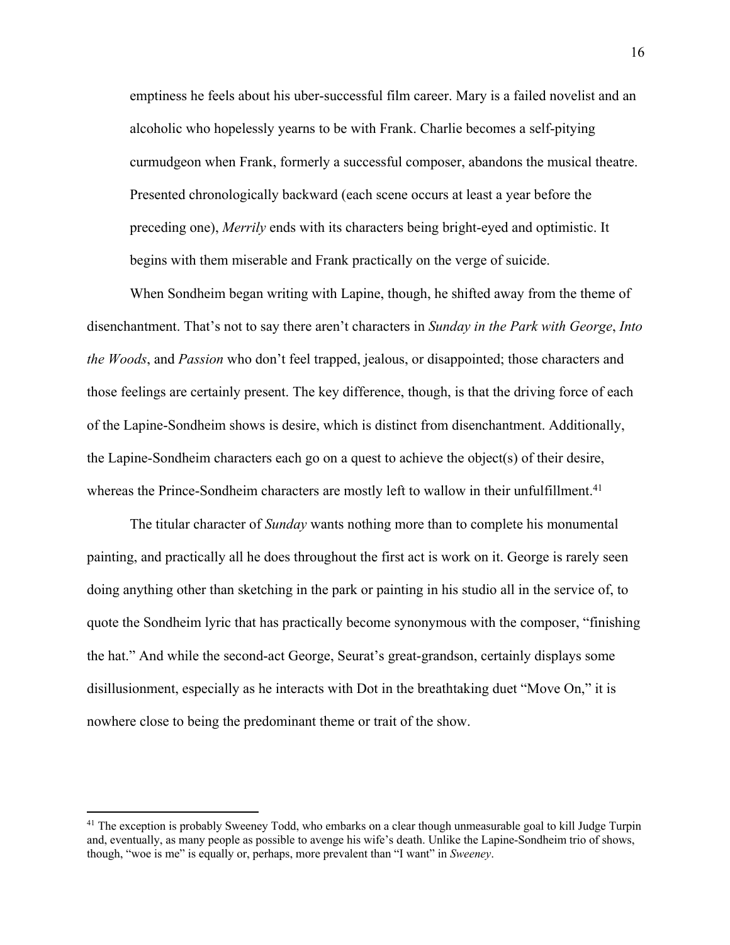emptiness he feels about his uber-successful film career. Mary is a failed novelist and an alcoholic who hopelessly yearns to be with Frank. Charlie becomes a self-pitying curmudgeon when Frank, formerly a successful composer, abandons the musical theatre. Presented chronologically backward (each scene occurs at least a year before the preceding one), *Merrily* ends with its characters being bright-eyed and optimistic. It begins with them miserable and Frank practically on the verge of suicide.

 When Sondheim began writing with Lapine, though, he shifted away from the theme of disenchantment. That's not to say there aren't characters in *Sunday in the Park with George*, *Into the Woods*, and *Passion* who don't feel trapped, jealous, or disappointed; those characters and those feelings are certainly present. The key difference, though, is that the driving force of each of the Lapine-Sondheim shows is desire, which is distinct from disenchantment. Additionally, the Lapine-Sondheim characters each go on a quest to achieve the object(s) of their desire, whereas the Prince-Sondheim characters are mostly left to wallow in their unfulfillment.<sup>41</sup>

 The titular character of *Sunday* wants nothing more than to complete his monumental painting, and practically all he does throughout the first act is work on it. George is rarely seen doing anything other than sketching in the park or painting in his studio all in the service of, to quote the Sondheim lyric that has practically become synonymous with the composer, "finishing the hat." And while the second-act George, Seurat's great-grandson, certainly displays some disillusionment, especially as he interacts with Dot in the breathtaking duet "Move On," it is nowhere close to being the predominant theme or trait of the show.

<sup>&</sup>lt;sup>41</sup> The exception is probably Sweeney Todd, who embarks on a clear though unmeasurable goal to kill Judge Turpin and, eventually, as many people as possible to avenge his wife's death. Unlike the Lapine-Sondheim trio of shows, though, "woe is me" is equally or, perhaps, more prevalent than "I want" in *Sweeney*.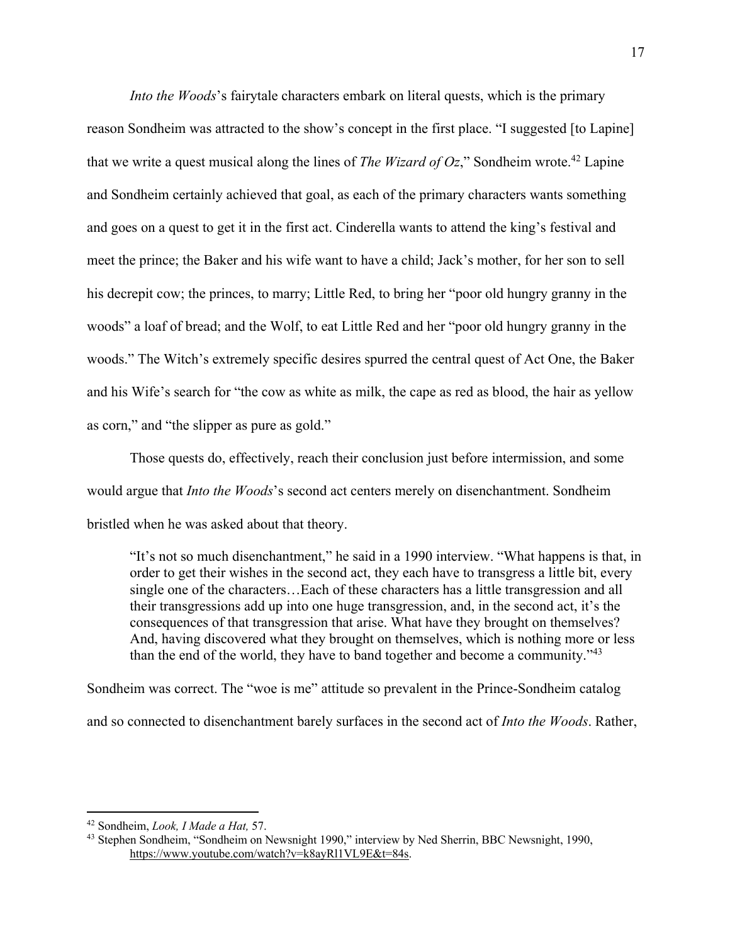*Into the Woods*'s fairytale characters embark on literal quests, which is the primary reason Sondheim was attracted to the show's concept in the first place. "I suggested [to Lapine] that we write a quest musical along the lines of *The Wizard of Oz*," Sondheim wrote.<sup>42</sup> Lapine and Sondheim certainly achieved that goal, as each of the primary characters wants something and goes on a quest to get it in the first act. Cinderella wants to attend the king's festival and meet the prince; the Baker and his wife want to have a child; Jack's mother, for her son to sell his decrepit cow; the princes, to marry; Little Red, to bring her "poor old hungry granny in the woods" a loaf of bread; and the Wolf, to eat Little Red and her "poor old hungry granny in the woods." The Witch's extremely specific desires spurred the central quest of Act One, the Baker and his Wife's search for "the cow as white as milk, the cape as red as blood, the hair as yellow as corn," and "the slipper as pure as gold."

 Those quests do, effectively, reach their conclusion just before intermission, and some would argue that *Into the Woods*'s second act centers merely on disenchantment. Sondheim bristled when he was asked about that theory.

"It's not so much disenchantment," he said in a 1990 interview. "What happens is that, in order to get their wishes in the second act, they each have to transgress a little bit, every single one of the characters…Each of these characters has a little transgression and all their transgressions add up into one huge transgression, and, in the second act, it's the consequences of that transgression that arise. What have they brought on themselves? And, having discovered what they brought on themselves, which is nothing more or less than the end of the world, they have to band together and become a community."<sup>43</sup>

Sondheim was correct. The "woe is me" attitude so prevalent in the Prince-Sondheim catalog and so connected to disenchantment barely surfaces in the second act of *Into the Woods*. Rather,

<sup>42</sup> Sondheim, *Look, I Made a Hat,* 57.

<sup>43</sup> Stephen Sondheim, "Sondheim on Newsnight 1990," interview by Ned Sherrin, BBC Newsnight, 1990, https://www.youtube.com/watch?v=k8ayRl1VL9E&t=84s.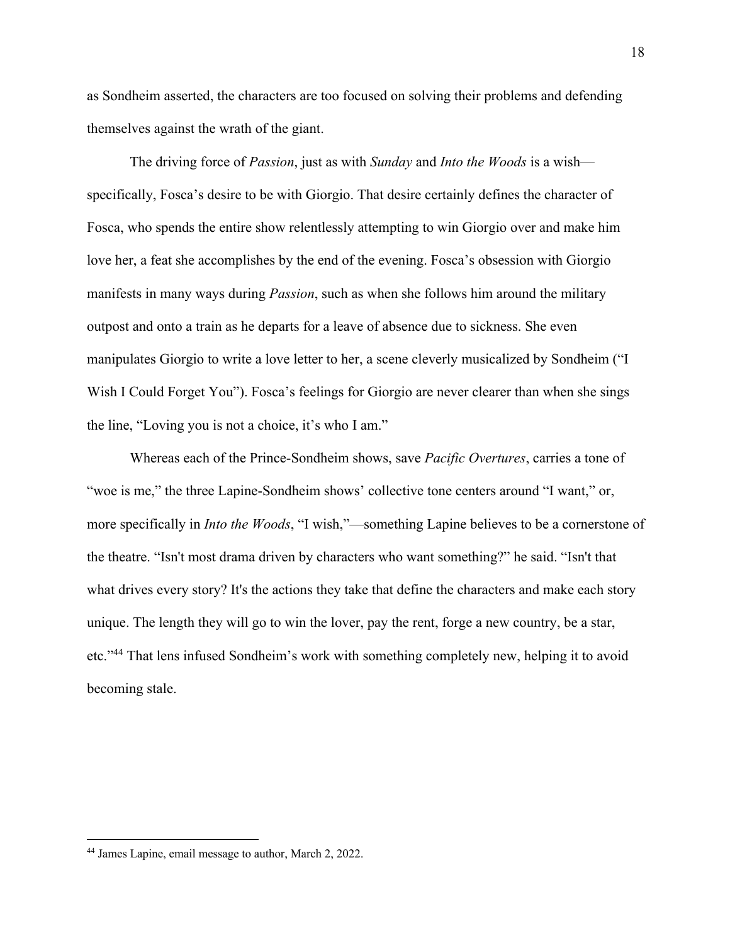as Sondheim asserted, the characters are too focused on solving their problems and defending themselves against the wrath of the giant.

 The driving force of *Passion*, just as with *Sunday* and *Into the Woods* is a wish specifically, Fosca's desire to be with Giorgio. That desire certainly defines the character of Fosca, who spends the entire show relentlessly attempting to win Giorgio over and make him love her, a feat she accomplishes by the end of the evening. Fosca's obsession with Giorgio manifests in many ways during *Passion*, such as when she follows him around the military outpost and onto a train as he departs for a leave of absence due to sickness. She even manipulates Giorgio to write a love letter to her, a scene cleverly musicalized by Sondheim ("I Wish I Could Forget You"). Fosca's feelings for Giorgio are never clearer than when she sings the line, "Loving you is not a choice, it's who I am."

 Whereas each of the Prince-Sondheim shows, save *Pacific Overtures*, carries a tone of "woe is me," the three Lapine-Sondheim shows' collective tone centers around "I want," or, more specifically in *Into the Woods*, "I wish,"—something Lapine believes to be a cornerstone of the theatre. "Isn't most drama driven by characters who want something?" he said. "Isn't that what drives every story? It's the actions they take that define the characters and make each story unique. The length they will go to win the lover, pay the rent, forge a new country, be a star, etc."<sup>44</sup> That lens infused Sondheim's work with something completely new, helping it to avoid becoming stale.

<sup>44</sup> James Lapine, email message to author, March 2, 2022.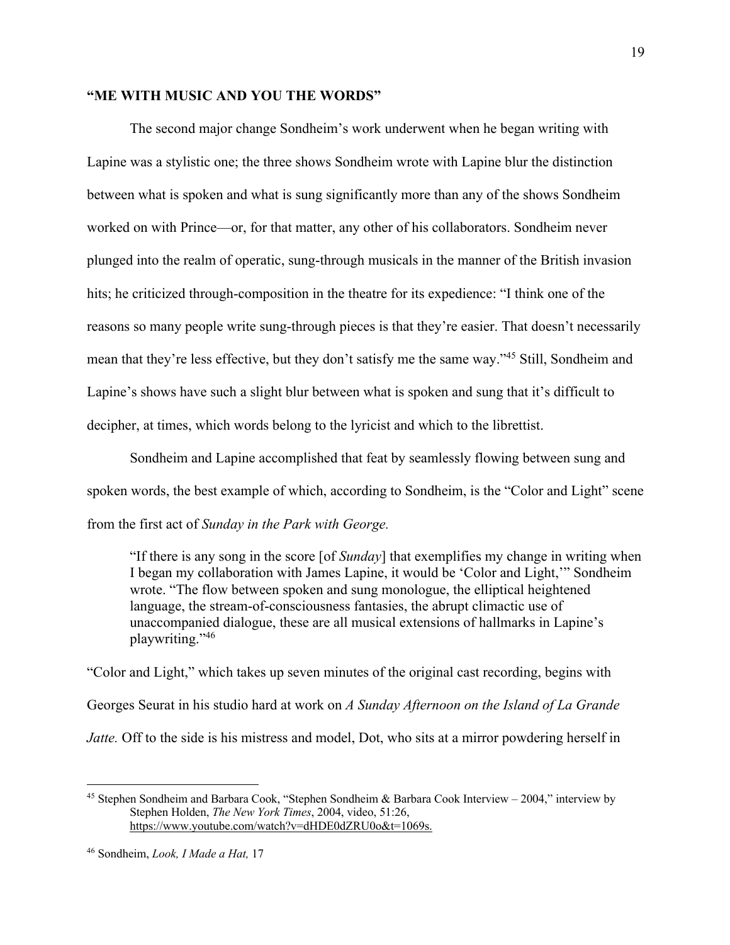### **"ME WITH MUSIC AND YOU THE WORDS"**

 The second major change Sondheim's work underwent when he began writing with Lapine was a stylistic one; the three shows Sondheim wrote with Lapine blur the distinction between what is spoken and what is sung significantly more than any of the shows Sondheim worked on with Prince—or, for that matter, any other of his collaborators. Sondheim never plunged into the realm of operatic, sung-through musicals in the manner of the British invasion hits; he criticized through-composition in the theatre for its expedience: "I think one of the reasons so many people write sung-through pieces is that they're easier. That doesn't necessarily mean that they're less effective, but they don't satisfy me the same way."<sup>45</sup> Still, Sondheim and Lapine's shows have such a slight blur between what is spoken and sung that it's difficult to decipher, at times, which words belong to the lyricist and which to the librettist.

 Sondheim and Lapine accomplished that feat by seamlessly flowing between sung and spoken words, the best example of which, according to Sondheim, is the "Color and Light" scene from the first act of *Sunday in the Park with George.* 

"If there is any song in the score [of *Sunday*] that exemplifies my change in writing when I began my collaboration with James Lapine, it would be 'Color and Light,'" Sondheim wrote. "The flow between spoken and sung monologue, the elliptical heightened language, the stream-of-consciousness fantasies, the abrupt climactic use of unaccompanied dialogue, these are all musical extensions of hallmarks in Lapine's playwriting."<sup>46</sup>

"Color and Light," which takes up seven minutes of the original cast recording, begins with Georges Seurat in his studio hard at work on *A Sunday Afternoon on the Island of La Grande Jatte.* Off to the side is his mistress and model, Dot, who sits at a mirror powdering herself in

<sup>45</sup> Stephen Sondheim and Barbara Cook, "Stephen Sondheim & Barbara Cook Interview – 2004," interview by Stephen Holden, *The New York Times*, 2004, video, 51:26, https://www.youtube.com/watch?v=dHDE0dZRU0o&t=1069s.

<sup>46</sup> Sondheim, *Look, I Made a Hat,* 17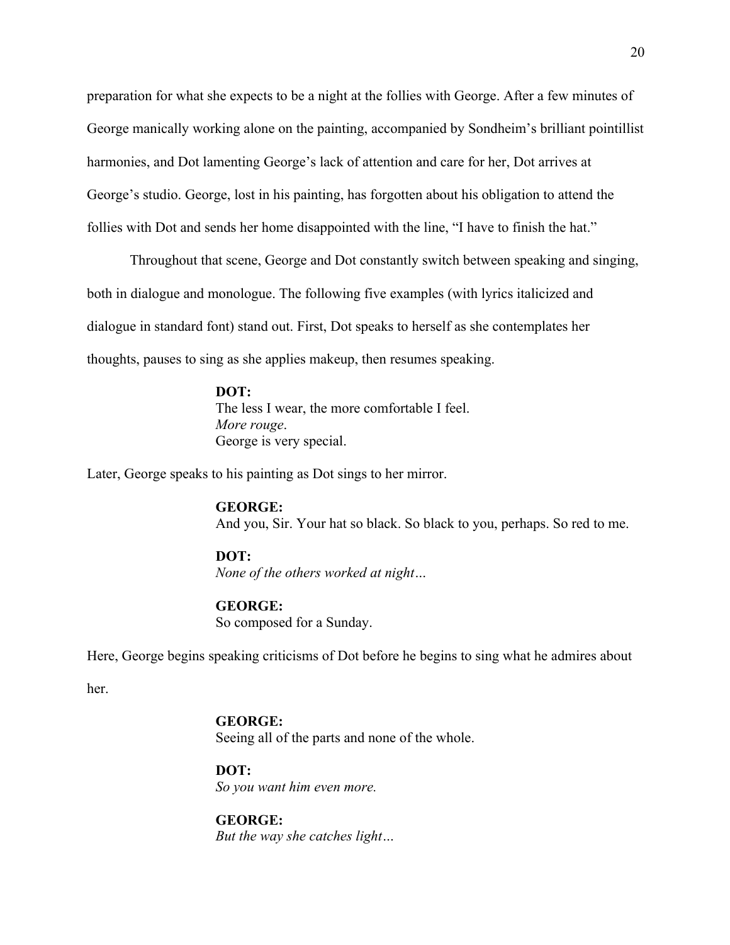preparation for what she expects to be a night at the follies with George. After a few minutes of George manically working alone on the painting, accompanied by Sondheim's brilliant pointillist harmonies, and Dot lamenting George's lack of attention and care for her, Dot arrives at George's studio. George, lost in his painting, has forgotten about his obligation to attend the follies with Dot and sends her home disappointed with the line, "I have to finish the hat."

 Throughout that scene, George and Dot constantly switch between speaking and singing, both in dialogue and monologue. The following five examples (with lyrics italicized and dialogue in standard font) stand out. First, Dot speaks to herself as she contemplates her thoughts, pauses to sing as she applies makeup, then resumes speaking.

### **DOT:**

The less I wear, the more comfortable I feel. *More rouge*. George is very special.

Later, George speaks to his painting as Dot sings to her mirror.

### **GEORGE:**

And you, Sir. Your hat so black. So black to you, perhaps. So red to me.

#### **DOT:**

*None of the others worked at night…* 

# **GEORGE:**

So composed for a Sunday.

Here, George begins speaking criticisms of Dot before he begins to sing what he admires about

her.

### **GEORGE:**

Seeing all of the parts and none of the whole.

### **DOT:**

*So you want him even more.* 

# **GEORGE:**

*But the way she catches light…*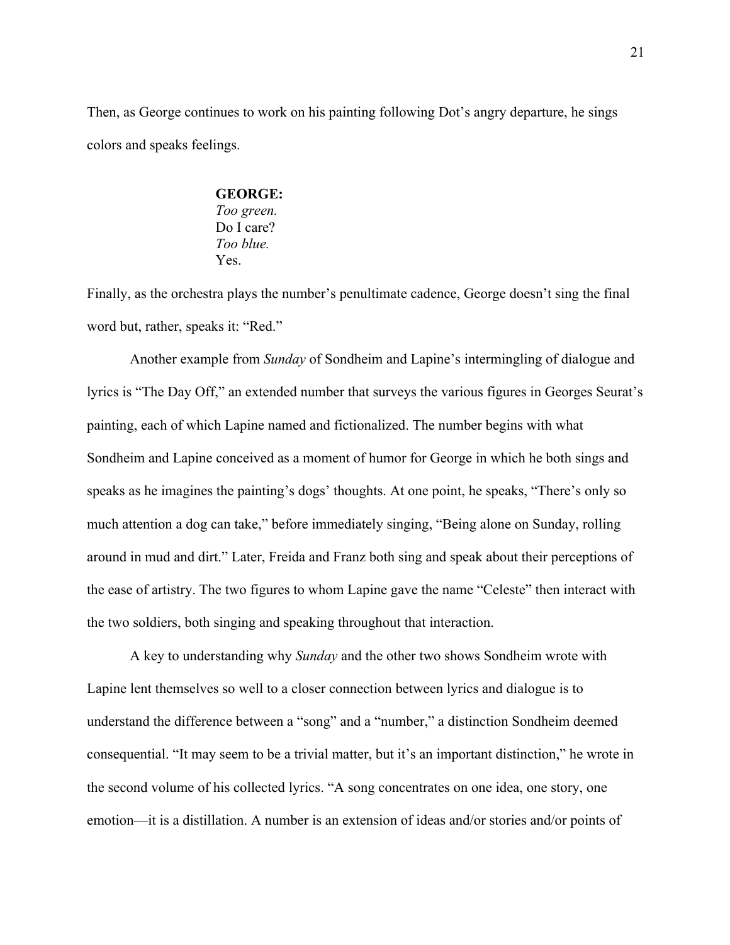Then, as George continues to work on his painting following Dot's angry departure, he sings colors and speaks feelings.

# **GEORGE:**

*Too green.*  Do I care? *Too blue.* Yes.

Finally, as the orchestra plays the number's penultimate cadence, George doesn't sing the final word but, rather, speaks it: "Red."

 Another example from *Sunday* of Sondheim and Lapine's intermingling of dialogue and lyrics is "The Day Off," an extended number that surveys the various figures in Georges Seurat's painting, each of which Lapine named and fictionalized. The number begins with what Sondheim and Lapine conceived as a moment of humor for George in which he both sings and speaks as he imagines the painting's dogs' thoughts. At one point, he speaks, "There's only so much attention a dog can take," before immediately singing, "Being alone on Sunday, rolling around in mud and dirt." Later, Freida and Franz both sing and speak about their perceptions of the ease of artistry. The two figures to whom Lapine gave the name "Celeste" then interact with the two soldiers, both singing and speaking throughout that interaction.

 A key to understanding why *Sunday* and the other two shows Sondheim wrote with Lapine lent themselves so well to a closer connection between lyrics and dialogue is to understand the difference between a "song" and a "number," a distinction Sondheim deemed consequential. "It may seem to be a trivial matter, but it's an important distinction," he wrote in the second volume of his collected lyrics. "A song concentrates on one idea, one story, one emotion—it is a distillation. A number is an extension of ideas and/or stories and/or points of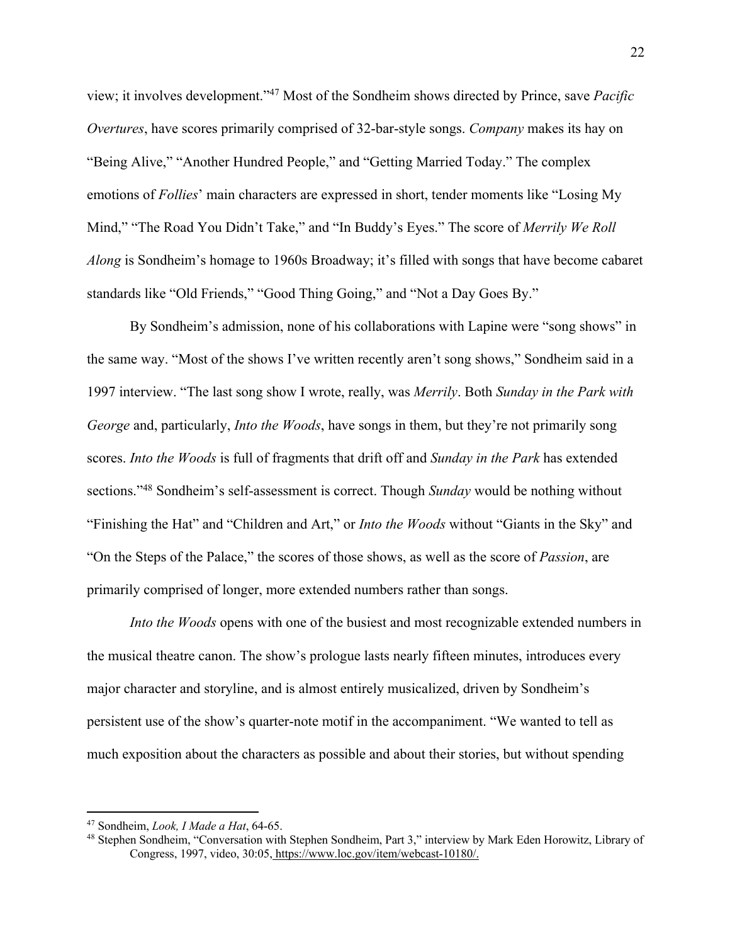view; it involves development."<sup>47</sup> Most of the Sondheim shows directed by Prince, save *Pacific Overtures*, have scores primarily comprised of 32-bar-style songs. *Company* makes its hay on "Being Alive," "Another Hundred People," and "Getting Married Today." The complex emotions of *Follies*' main characters are expressed in short, tender moments like "Losing My Mind," "The Road You Didn't Take," and "In Buddy's Eyes." The score of *Merrily We Roll Along* is Sondheim's homage to 1960s Broadway; it's filled with songs that have become cabaret standards like "Old Friends," "Good Thing Going," and "Not a Day Goes By."

By Sondheim's admission, none of his collaborations with Lapine were "song shows" in the same way. "Most of the shows I've written recently aren't song shows," Sondheim said in a 1997 interview. "The last song show I wrote, really, was *Merrily*. Both *Sunday in the Park with George* and, particularly, *Into the Woods*, have songs in them, but they're not primarily song scores. *Into the Woods* is full of fragments that drift off and *Sunday in the Park* has extended sections."<sup>48</sup> Sondheim's self-assessment is correct. Though *Sunday* would be nothing without "Finishing the Hat" and "Children and Art," or *Into the Woods* without "Giants in the Sky" and "On the Steps of the Palace," the scores of those shows, as well as the score of *Passion*, are primarily comprised of longer, more extended numbers rather than songs.

*Into the Woods* opens with one of the busiest and most recognizable extended numbers in the musical theatre canon. The show's prologue lasts nearly fifteen minutes, introduces every major character and storyline, and is almost entirely musicalized, driven by Sondheim's persistent use of the show's quarter-note motif in the accompaniment. "We wanted to tell as much exposition about the characters as possible and about their stories, but without spending

<sup>47</sup> Sondheim, *Look, I Made a Hat*, 64-65.

<sup>48</sup> Stephen Sondheim, "Conversation with Stephen Sondheim, Part 3," interview by Mark Eden Horowitz, Library of Congress, 1997, video, 30:05, https://www.loc.gov/item/webcast-10180/.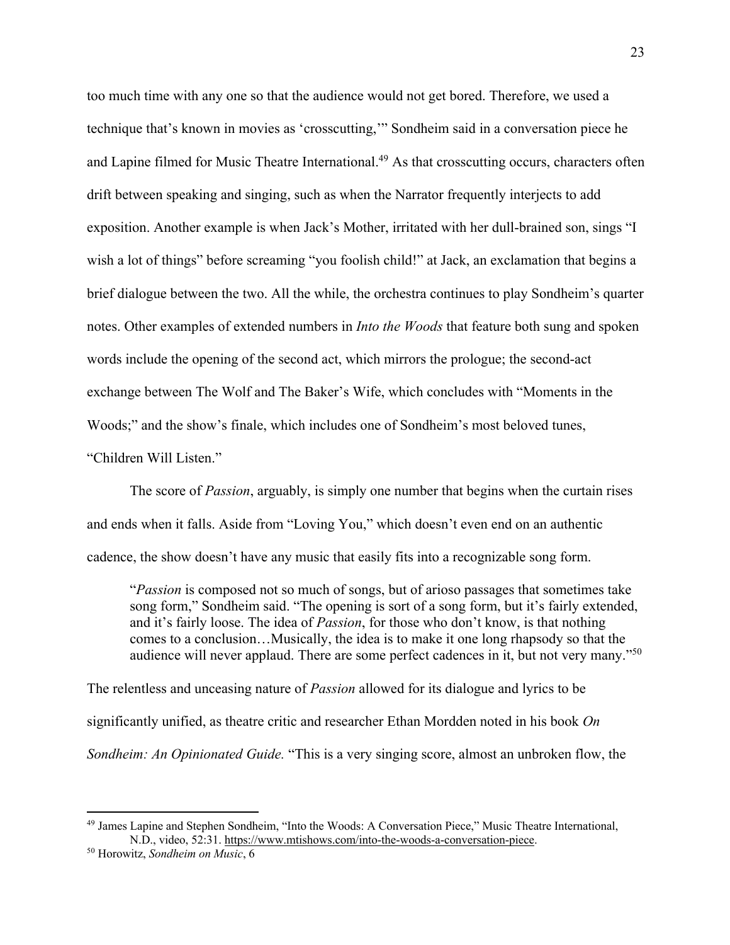too much time with any one so that the audience would not get bored. Therefore, we used a technique that's known in movies as 'crosscutting,'" Sondheim said in a conversation piece he and Lapine filmed for Music Theatre International.<sup>49</sup> As that crosscutting occurs, characters often drift between speaking and singing, such as when the Narrator frequently interjects to add exposition. Another example is when Jack's Mother, irritated with her dull-brained son, sings "I wish a lot of things" before screaming "you foolish child!" at Jack, an exclamation that begins a brief dialogue between the two. All the while, the orchestra continues to play Sondheim's quarter notes. Other examples of extended numbers in *Into the Woods* that feature both sung and spoken words include the opening of the second act, which mirrors the prologue; the second-act exchange between The Wolf and The Baker's Wife, which concludes with "Moments in the Woods;" and the show's finale, which includes one of Sondheim's most beloved tunes, "Children Will Listen."

The score of *Passion*, arguably, is simply one number that begins when the curtain rises and ends when it falls. Aside from "Loving You," which doesn't even end on an authentic cadence, the show doesn't have any music that easily fits into a recognizable song form.

"*Passion* is composed not so much of songs, but of arioso passages that sometimes take song form," Sondheim said. "The opening is sort of a song form, but it's fairly extended, and it's fairly loose. The idea of *Passion*, for those who don't know, is that nothing comes to a conclusion…Musically, the idea is to make it one long rhapsody so that the audience will never applaud. There are some perfect cadences in it, but not very many."<sup>50</sup>

The relentless and unceasing nature of *Passion* allowed for its dialogue and lyrics to be significantly unified, as theatre critic and researcher Ethan Mordden noted in his book *On Sondheim: An Opinionated Guide.* "This is a very singing score, almost an unbroken flow, the

<sup>&</sup>lt;sup>49</sup> James Lapine and Stephen Sondheim, "Into the Woods: A Conversation Piece," Music Theatre International, N.D., video, 52:31. https://www.mtishows.com/into-the-woods-a-conversation-piece.

<sup>50</sup> Horowitz, *Sondheim on Music*, 6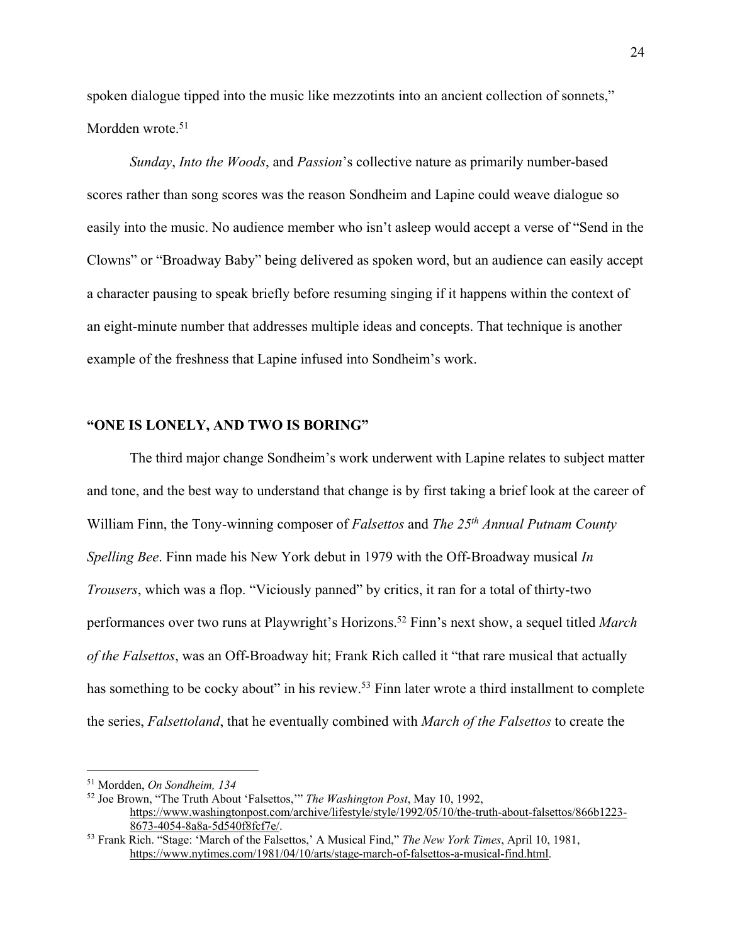spoken dialogue tipped into the music like mezzotints into an ancient collection of sonnets," Mordden wrote.<sup>51</sup>

*Sunday*, *Into the Woods*, and *Passion*'s collective nature as primarily number-based scores rather than song scores was the reason Sondheim and Lapine could weave dialogue so easily into the music. No audience member who isn't asleep would accept a verse of "Send in the Clowns" or "Broadway Baby" being delivered as spoken word, but an audience can easily accept a character pausing to speak briefly before resuming singing if it happens within the context of an eight-minute number that addresses multiple ideas and concepts. That technique is another example of the freshness that Lapine infused into Sondheim's work.

### **"ONE IS LONELY, AND TWO IS BORING"**

The third major change Sondheim's work underwent with Lapine relates to subject matter and tone, and the best way to understand that change is by first taking a brief look at the career of William Finn, the Tony-winning composer of *Falsettos* and *The 25th Annual Putnam County Spelling Bee*. Finn made his New York debut in 1979 with the Off-Broadway musical *In Trousers*, which was a flop. "Viciously panned" by critics, it ran for a total of thirty-two performances over two runs at Playwright's Horizons.<sup>52</sup> Finn's next show, a sequel titled *March of the Falsettos*, was an Off-Broadway hit; Frank Rich called it "that rare musical that actually has something to be cocky about" in his review.<sup>53</sup> Finn later wrote a third installment to complete the series, *Falsettoland*, that he eventually combined with *March of the Falsettos* to create the

<sup>51</sup> Mordden, *On Sondheim, 134*

<sup>52</sup> Joe Brown, "The Truth About 'Falsettos,'" *The Washington Post*, May 10, 1992, https://www.washingtonpost.com/archive/lifestyle/style/1992/05/10/the-truth-about-falsettos/866b1223- 8673-4054-8a8a-5d540f8fcf7e/.

<sup>53</sup> Frank Rich. "Stage: 'March of the Falsettos,' A Musical Find," *The New York Times*, April 10, 1981, https://www.nytimes.com/1981/04/10/arts/stage-march-of-falsettos-a-musical-find.html.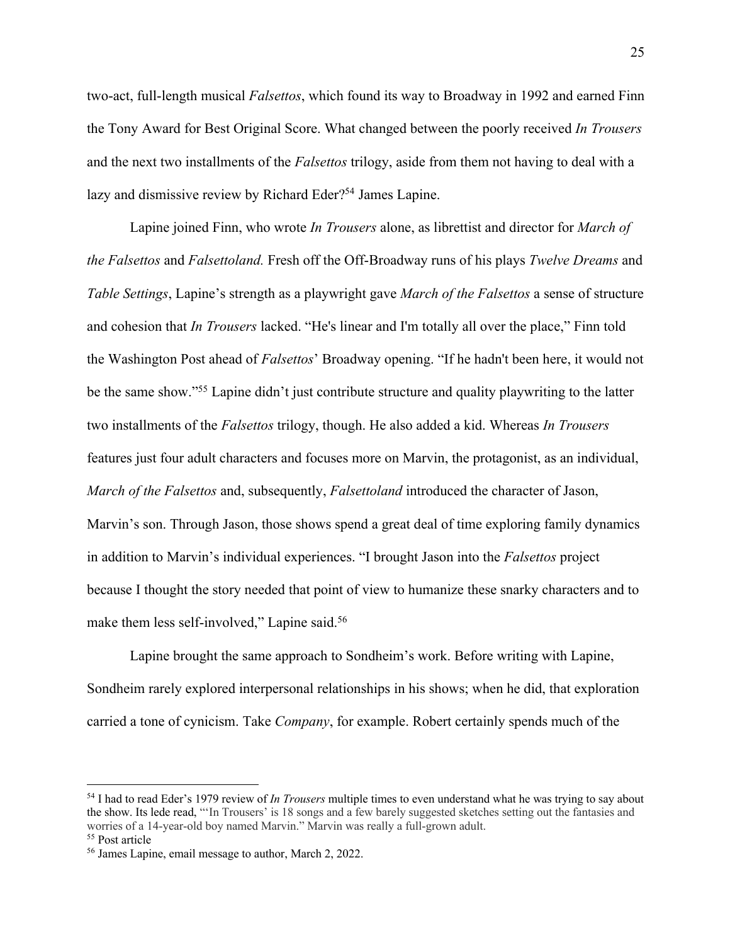two-act, full-length musical *Falsettos*, which found its way to Broadway in 1992 and earned Finn the Tony Award for Best Original Score. What changed between the poorly received *In Trousers*  and the next two installments of the *Falsettos* trilogy, aside from them not having to deal with a lazy and dismissive review by Richard Eder?<sup>54</sup> James Lapine.

 Lapine joined Finn, who wrote *In Trousers* alone, as librettist and director for *March of the Falsettos* and *Falsettoland.* Fresh off the Off-Broadway runs of his plays *Twelve Dreams* and *Table Settings*, Lapine's strength as a playwright gave *March of the Falsettos* a sense of structure and cohesion that *In Trousers* lacked. "He's linear and I'm totally all over the place," Finn told the Washington Post ahead of *Falsettos*' Broadway opening. "If he hadn't been here, it would not be the same show."<sup>55</sup> Lapine didn't just contribute structure and quality playwriting to the latter two installments of the *Falsettos* trilogy, though. He also added a kid. Whereas *In Trousers*  features just four adult characters and focuses more on Marvin, the protagonist, as an individual, *March of the Falsettos* and, subsequently, *Falsettoland* introduced the character of Jason, Marvin's son. Through Jason, those shows spend a great deal of time exploring family dynamics in addition to Marvin's individual experiences. "I brought Jason into the *Falsettos* project because I thought the story needed that point of view to humanize these snarky characters and to make them less self-involved," Lapine said.<sup>56</sup>

 Lapine brought the same approach to Sondheim's work. Before writing with Lapine, Sondheim rarely explored interpersonal relationships in his shows; when he did, that exploration carried a tone of cynicism. Take *Company*, for example. Robert certainly spends much of the

<sup>54</sup> I had to read Eder's 1979 review of *In Trousers* multiple times to even understand what he was trying to say about the show. Its lede read, "'In Trousers' is 18 songs and a few barely suggested sketches setting out the fantasies and worries of a 14-year-old boy named Marvin." Marvin was really a full-grown adult.

<sup>55</sup> Post article

<sup>56</sup> James Lapine, email message to author, March 2, 2022.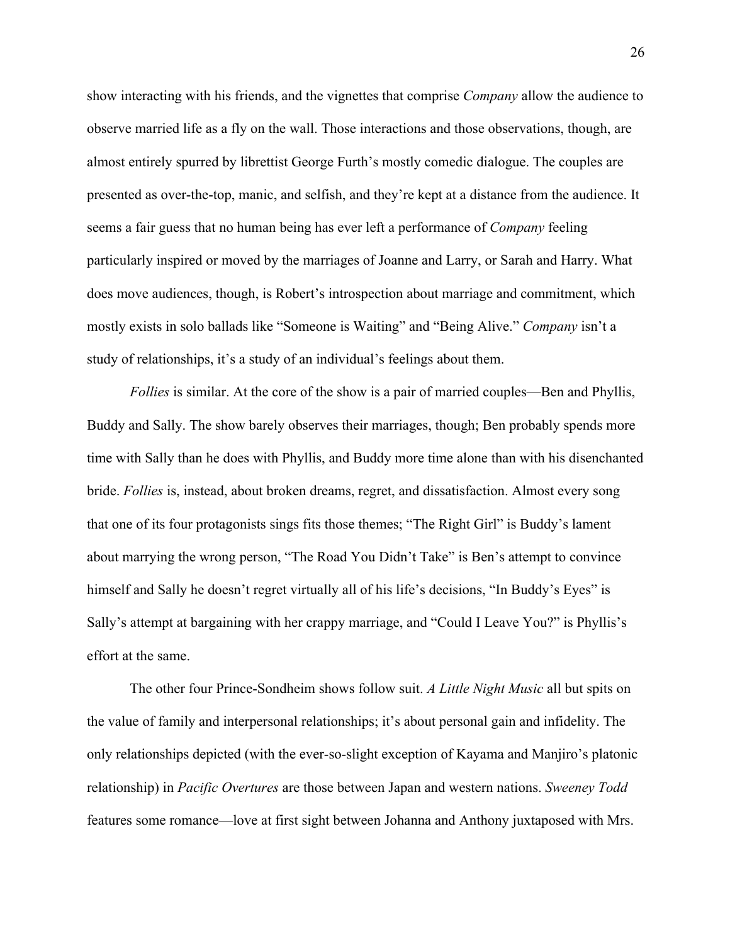show interacting with his friends, and the vignettes that comprise *Company* allow the audience to observe married life as a fly on the wall. Those interactions and those observations, though, are almost entirely spurred by librettist George Furth's mostly comedic dialogue. The couples are presented as over-the-top, manic, and selfish, and they're kept at a distance from the audience. It seems a fair guess that no human being has ever left a performance of *Company* feeling particularly inspired or moved by the marriages of Joanne and Larry, or Sarah and Harry. What does move audiences, though, is Robert's introspection about marriage and commitment, which mostly exists in solo ballads like "Someone is Waiting" and "Being Alive." *Company* isn't a study of relationships, it's a study of an individual's feelings about them.

*Follies* is similar. At the core of the show is a pair of married couples—Ben and Phyllis, Buddy and Sally. The show barely observes their marriages, though; Ben probably spends more time with Sally than he does with Phyllis, and Buddy more time alone than with his disenchanted bride. *Follies* is, instead, about broken dreams, regret, and dissatisfaction. Almost every song that one of its four protagonists sings fits those themes; "The Right Girl" is Buddy's lament about marrying the wrong person, "The Road You Didn't Take" is Ben's attempt to convince himself and Sally he doesn't regret virtually all of his life's decisions, "In Buddy's Eyes" is Sally's attempt at bargaining with her crappy marriage, and "Could I Leave You?" is Phyllis's effort at the same.

 The other four Prince-Sondheim shows follow suit. *A Little Night Music* all but spits on the value of family and interpersonal relationships; it's about personal gain and infidelity. The only relationships depicted (with the ever-so-slight exception of Kayama and Manjiro's platonic relationship) in *Pacific Overtures* are those between Japan and western nations. *Sweeney Todd*  features some romance—love at first sight between Johanna and Anthony juxtaposed with Mrs.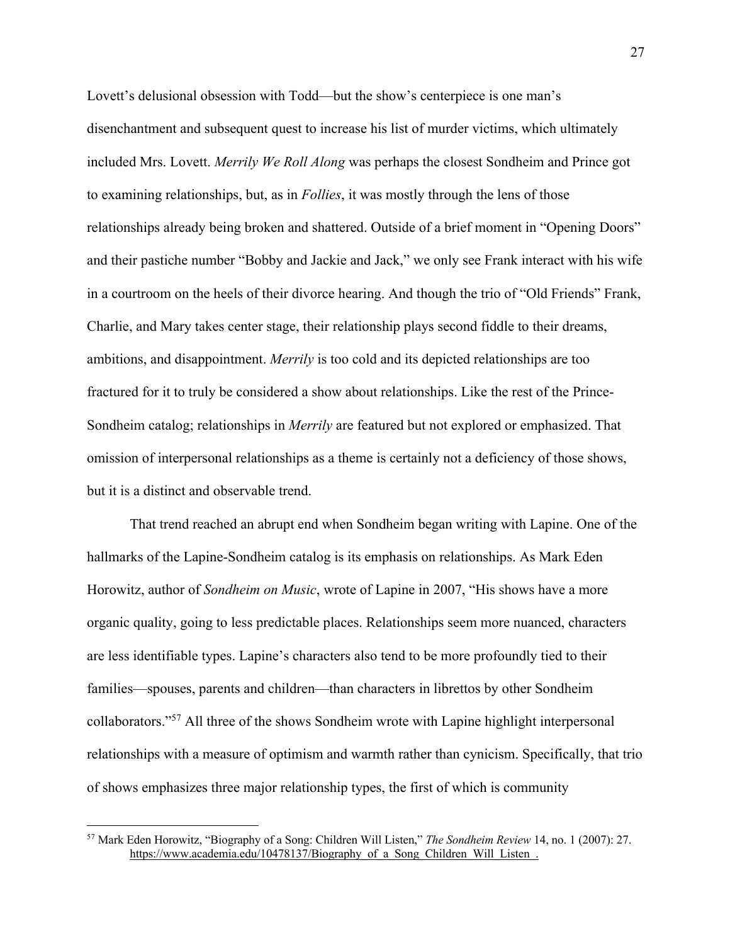Lovett's delusional obsession with Todd—but the show's centerpiece is one man's disenchantment and subsequent quest to increase his list of murder victims, which ultimately included Mrs. Lovett. *Merrily We Roll Along* was perhaps the closest Sondheim and Prince got to examining relationships, but, as in *Follies*, it was mostly through the lens of those relationships already being broken and shattered. Outside of a brief moment in "Opening Doors" and their pastiche number "Bobby and Jackie and Jack," we only see Frank interact with his wife in a courtroom on the heels of their divorce hearing. And though the trio of "Old Friends" Frank, Charlie, and Mary takes center stage, their relationship plays second fiddle to their dreams, ambitions, and disappointment. *Merrily* is too cold and its depicted relationships are too fractured for it to truly be considered a show about relationships. Like the rest of the Prince-Sondheim catalog; relationships in *Merrily* are featured but not explored or emphasized. That omission of interpersonal relationships as a theme is certainly not a deficiency of those shows, but it is a distinct and observable trend.

 That trend reached an abrupt end when Sondheim began writing with Lapine. One of the hallmarks of the Lapine-Sondheim catalog is its emphasis on relationships. As Mark Eden Horowitz, author of *Sondheim on Music*, wrote of Lapine in 2007, "His shows have a more organic quality, going to less predictable places. Relationships seem more nuanced, characters are less identifiable types. Lapine's characters also tend to be more profoundly tied to their families—spouses, parents and children—than characters in librettos by other Sondheim collaborators."<sup>57</sup> All three of the shows Sondheim wrote with Lapine highlight interpersonal relationships with a measure of optimism and warmth rather than cynicism. Specifically, that trio of shows emphasizes three major relationship types, the first of which is community

<sup>57</sup> Mark Eden Horowitz, "Biography of a Song: Children Will Listen," *The Sondheim Review* 14, no. 1 (2007): 27. https://www.academia.edu/10478137/Biography\_of\_a\_Song\_Children\_Will\_Listen\_.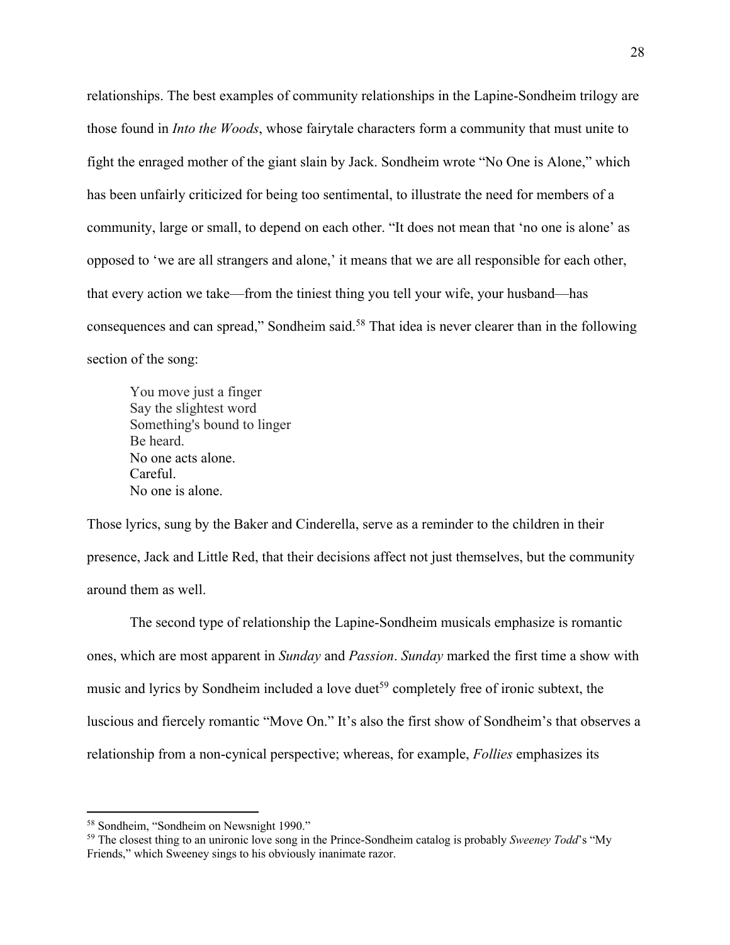relationships. The best examples of community relationships in the Lapine-Sondheim trilogy are those found in *Into the Woods*, whose fairytale characters form a community that must unite to fight the enraged mother of the giant slain by Jack. Sondheim wrote "No One is Alone," which has been unfairly criticized for being too sentimental, to illustrate the need for members of a community, large or small, to depend on each other. "It does not mean that 'no one is alone' as opposed to 'we are all strangers and alone,' it means that we are all responsible for each other, that every action we take—from the tiniest thing you tell your wife, your husband—has consequences and can spread," Sondheim said.<sup>58</sup> That idea is never clearer than in the following section of the song:

You move just a finger Say the slightest word Something's bound to linger Be heard. No one acts alone. Careful. No one is alone.

Those lyrics, sung by the Baker and Cinderella, serve as a reminder to the children in their presence, Jack and Little Red, that their decisions affect not just themselves, but the community around them as well.

 The second type of relationship the Lapine-Sondheim musicals emphasize is romantic ones, which are most apparent in *Sunday* and *Passion*. *Sunday* marked the first time a show with music and lyrics by Sondheim included a love duet<sup>59</sup> completely free of ironic subtext, the luscious and fiercely romantic "Move On." It's also the first show of Sondheim's that observes a relationship from a non-cynical perspective; whereas, for example, *Follies* emphasizes its

<sup>58</sup> Sondheim, "Sondheim on Newsnight 1990."

<sup>59</sup> The closest thing to an unironic love song in the Prince-Sondheim catalog is probably *Sweeney Todd*'s "My Friends," which Sweeney sings to his obviously inanimate razor.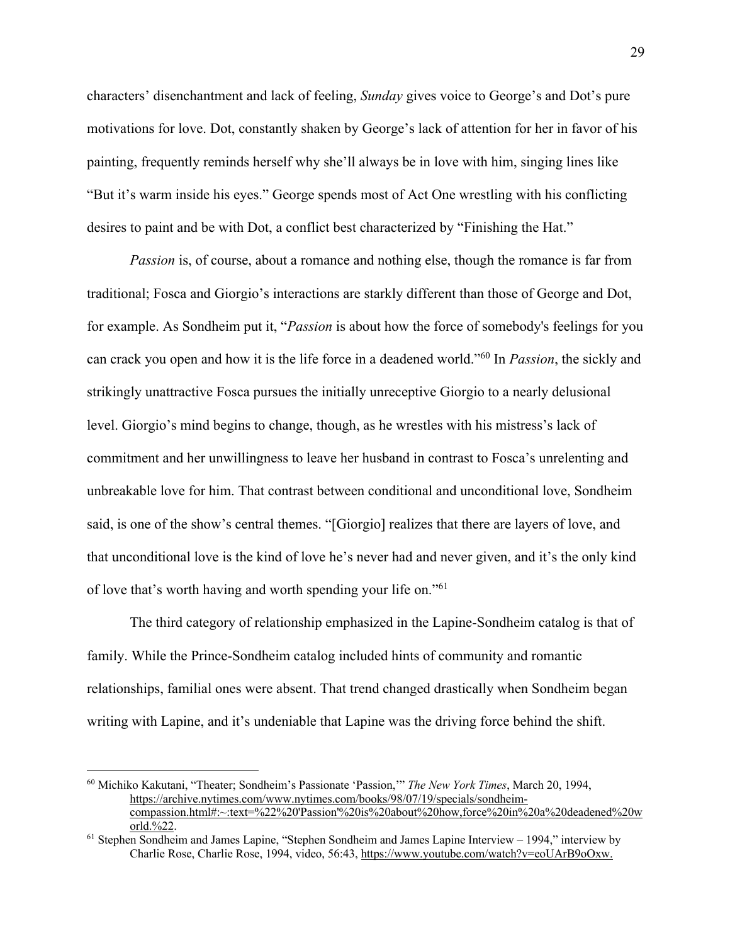characters' disenchantment and lack of feeling, *Sunday* gives voice to George's and Dot's pure motivations for love. Dot, constantly shaken by George's lack of attention for her in favor of his painting, frequently reminds herself why she'll always be in love with him, singing lines like "But it's warm inside his eyes." George spends most of Act One wrestling with his conflicting desires to paint and be with Dot, a conflict best characterized by "Finishing the Hat."

*Passion* is, of course, about a romance and nothing else, though the romance is far from traditional; Fosca and Giorgio's interactions are starkly different than those of George and Dot, for example. As Sondheim put it, "*Passion* is about how the force of somebody's feelings for you can crack you open and how it is the life force in a deadened world."<sup>60</sup> In *Passion*, the sickly and strikingly unattractive Fosca pursues the initially unreceptive Giorgio to a nearly delusional level. Giorgio's mind begins to change, though, as he wrestles with his mistress's lack of commitment and her unwillingness to leave her husband in contrast to Fosca's unrelenting and unbreakable love for him. That contrast between conditional and unconditional love, Sondheim said, is one of the show's central themes. "[Giorgio] realizes that there are layers of love, and that unconditional love is the kind of love he's never had and never given, and it's the only kind of love that's worth having and worth spending your life on."<sup>61</sup>

 The third category of relationship emphasized in the Lapine-Sondheim catalog is that of family. While the Prince-Sondheim catalog included hints of community and romantic relationships, familial ones were absent. That trend changed drastically when Sondheim began writing with Lapine, and it's undeniable that Lapine was the driving force behind the shift.

<sup>60</sup> Michiko Kakutani, "Theater; Sondheim's Passionate 'Passion,'" *The New York Times*, March 20, 1994, https://archive.nytimes.com/www.nytimes.com/books/98/07/19/specials/sondheimcompassion.html#:~:text=%22%20'Passion'%20is%20about%20how,force%20in%20a%20deadened%20w orld.%22.

<sup>61</sup> Stephen Sondheim and James Lapine, "Stephen Sondheim and James Lapine Interview – 1994," interview by Charlie Rose, Charlie Rose, 1994, video, 56:43, https://www.youtube.com/watch?v=eoUArB9oOxw.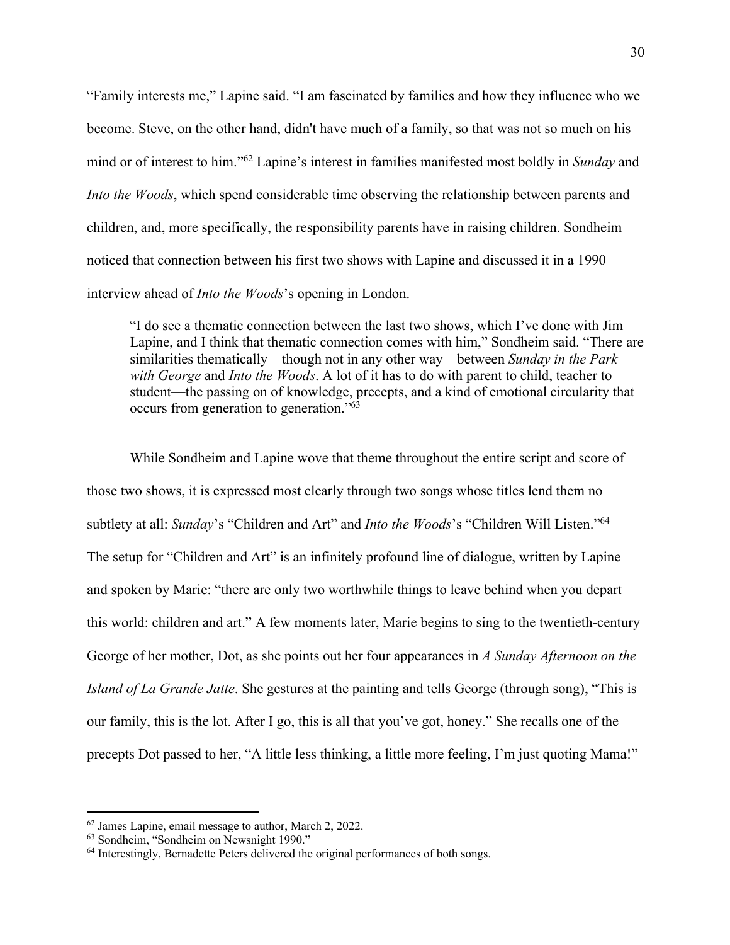"Family interests me," Lapine said. "I am fascinated by families and how they influence who we become. Steve, on the other hand, didn't have much of a family, so that was not so much on his mind or of interest to him."<sup>62</sup> Lapine's interest in families manifested most boldly in *Sunday* and *Into the Woods*, which spend considerable time observing the relationship between parents and children, and, more specifically, the responsibility parents have in raising children. Sondheim noticed that connection between his first two shows with Lapine and discussed it in a 1990 interview ahead of *Into the Woods*'s opening in London.

"I do see a thematic connection between the last two shows, which I've done with Jim Lapine, and I think that thematic connection comes with him," Sondheim said. "There are similarities thematically—though not in any other way—between *Sunday in the Park with George* and *Into the Woods*. A lot of it has to do with parent to child, teacher to student—the passing on of knowledge, precepts, and a kind of emotional circularity that occurs from generation to generation."<sup>63</sup>

 While Sondheim and Lapine wove that theme throughout the entire script and score of those two shows, it is expressed most clearly through two songs whose titles lend them no subtlety at all: *Sunday*'s "Children and Art" and *Into the Woods*'s "Children Will Listen."<sup>64</sup> The setup for "Children and Art" is an infinitely profound line of dialogue, written by Lapine and spoken by Marie: "there are only two worthwhile things to leave behind when you depart this world: children and art." A few moments later, Marie begins to sing to the twentieth-century George of her mother, Dot, as she points out her four appearances in *A Sunday Afternoon on the Island of La Grande Jatte*. She gestures at the painting and tells George (through song), "This is our family, this is the lot. After I go, this is all that you've got, honey." She recalls one of the precepts Dot passed to her, "A little less thinking, a little more feeling, I'm just quoting Mama!"

<sup>62</sup> James Lapine, email message to author, March 2, 2022.

<sup>63</sup> Sondheim, "Sondheim on Newsnight 1990."

<sup>&</sup>lt;sup>64</sup> Interestingly, Bernadette Peters delivered the original performances of both songs.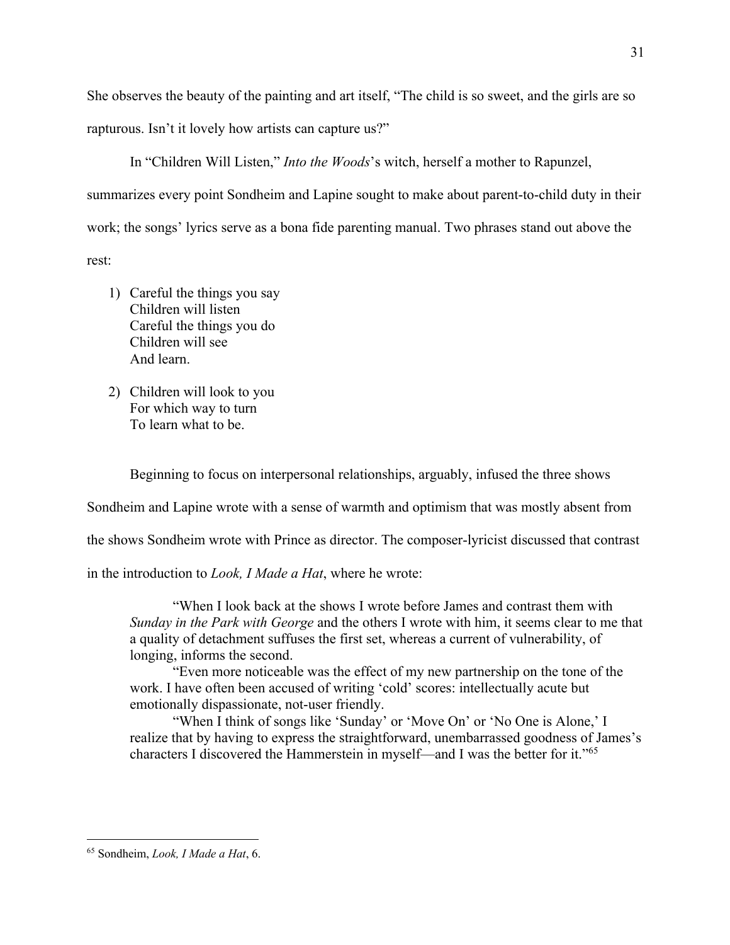She observes the beauty of the painting and art itself, "The child is so sweet, and the girls are so rapturous. Isn't it lovely how artists can capture us?"

 In "Children Will Listen," *Into the Woods*'s witch, herself a mother to Rapunzel, summarizes every point Sondheim and Lapine sought to make about parent-to-child duty in their work; the songs' lyrics serve as a bona fide parenting manual. Two phrases stand out above the rest:

- 1) Careful the things you say Children will listen Careful the things you do Children will see And learn.
- 2) Children will look to you For which way to turn To learn what to be.

Beginning to focus on interpersonal relationships, arguably, infused the three shows

Sondheim and Lapine wrote with a sense of warmth and optimism that was mostly absent from

the shows Sondheim wrote with Prince as director. The composer-lyricist discussed that contrast

in the introduction to *Look, I Made a Hat*, where he wrote:

"When I look back at the shows I wrote before James and contrast them with *Sunday in the Park with George* and the others I wrote with him, it seems clear to me that a quality of detachment suffuses the first set, whereas a current of vulnerability, of longing, informs the second.

"Even more noticeable was the effect of my new partnership on the tone of the work. I have often been accused of writing 'cold' scores: intellectually acute but emotionally dispassionate, not-user friendly.

"When I think of songs like 'Sunday' or 'Move On' or 'No One is Alone,' I realize that by having to express the straightforward, unembarrassed goodness of James's characters I discovered the Hammerstein in myself—and I was the better for it."<sup>65</sup>

<sup>65</sup> Sondheim, *Look, I Made a Hat*, 6.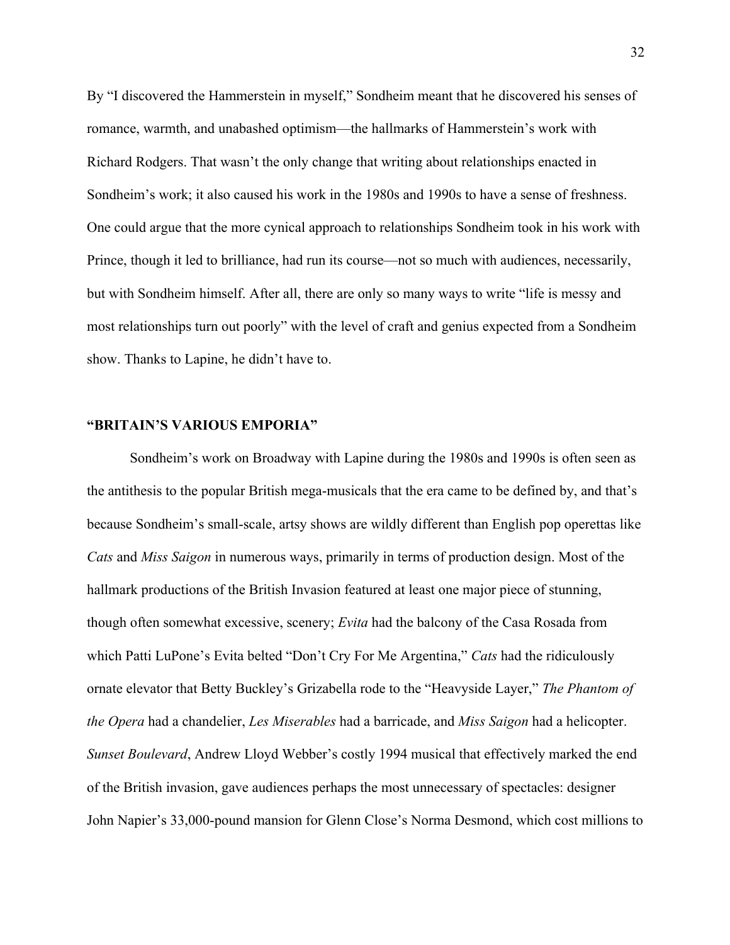By "I discovered the Hammerstein in myself," Sondheim meant that he discovered his senses of romance, warmth, and unabashed optimism—the hallmarks of Hammerstein's work with Richard Rodgers. That wasn't the only change that writing about relationships enacted in Sondheim's work; it also caused his work in the 1980s and 1990s to have a sense of freshness. One could argue that the more cynical approach to relationships Sondheim took in his work with Prince, though it led to brilliance, had run its course—not so much with audiences, necessarily, but with Sondheim himself. After all, there are only so many ways to write "life is messy and most relationships turn out poorly" with the level of craft and genius expected from a Sondheim show. Thanks to Lapine, he didn't have to.

#### **"BRITAIN'S VARIOUS EMPORIA"**

Sondheim's work on Broadway with Lapine during the 1980s and 1990s is often seen as the antithesis to the popular British mega-musicals that the era came to be defined by, and that's because Sondheim's small-scale, artsy shows are wildly different than English pop operettas like *Cats* and *Miss Saigon* in numerous ways, primarily in terms of production design. Most of the hallmark productions of the British Invasion featured at least one major piece of stunning, though often somewhat excessive, scenery; *Evita* had the balcony of the Casa Rosada from which Patti LuPone's Evita belted "Don't Cry For Me Argentina," *Cats* had the ridiculously ornate elevator that Betty Buckley's Grizabella rode to the "Heavyside Layer," *The Phantom of the Opera* had a chandelier, *Les Miserables* had a barricade, and *Miss Saigon* had a helicopter. *Sunset Boulevard*, Andrew Lloyd Webber's costly 1994 musical that effectively marked the end of the British invasion, gave audiences perhaps the most unnecessary of spectacles: designer John Napier's 33,000-pound mansion for Glenn Close's Norma Desmond, which cost millions to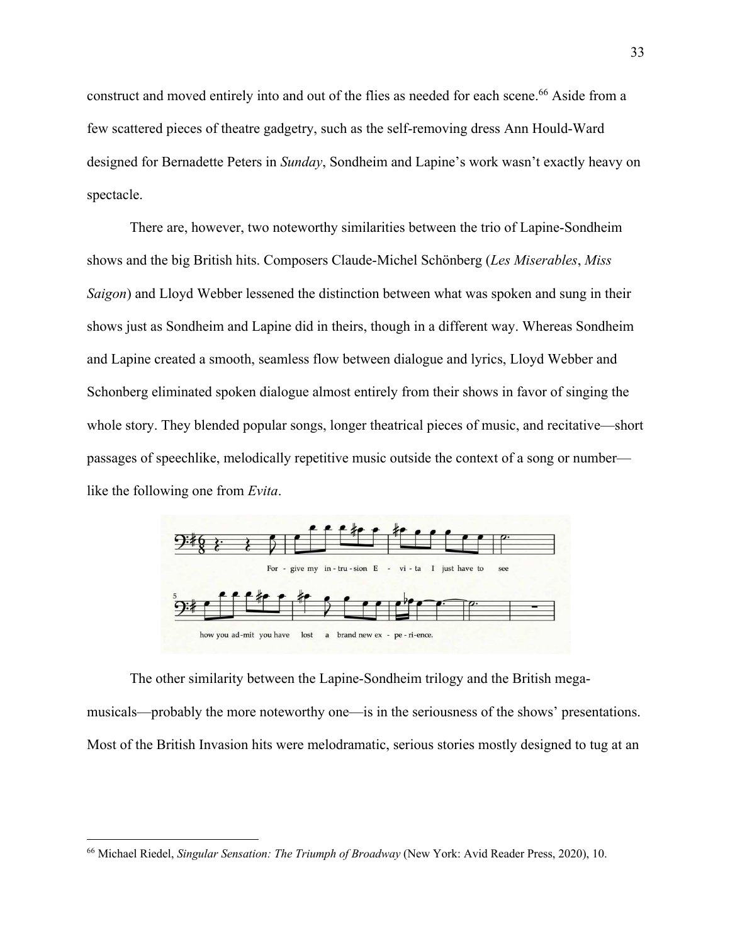construct and moved entirely into and out of the flies as needed for each scene.<sup>66</sup> Aside from a few scattered pieces of theatre gadgetry, such as the self-removing dress Ann Hould-Ward designed for Bernadette Peters in *Sunday*, Sondheim and Lapine's work wasn't exactly heavy on spectacle.

 There are, however, two noteworthy similarities between the trio of Lapine-Sondheim shows and the big British hits. Composers Claude-Michel Schönberg (*Les Miserables*, *Miss Saigon*) and Lloyd Webber lessened the distinction between what was spoken and sung in their shows just as Sondheim and Lapine did in theirs, though in a different way. Whereas Sondheim and Lapine created a smooth, seamless flow between dialogue and lyrics, Lloyd Webber and Schonberg eliminated spoken dialogue almost entirely from their shows in favor of singing the whole story. They blended popular songs, longer theatrical pieces of music, and recitative—short passages of speechlike, melodically repetitive music outside the context of a song or number like the following one from *Evita*.



 The other similarity between the Lapine-Sondheim trilogy and the British megamusicals—probably the more noteworthy one—is in the seriousness of the shows' presentations. Most of the British Invasion hits were melodramatic, serious stories mostly designed to tug at an

<sup>66</sup> Michael Riedel, *Singular Sensation: The Triumph of Broadway* (New York: Avid Reader Press, 2020), 10.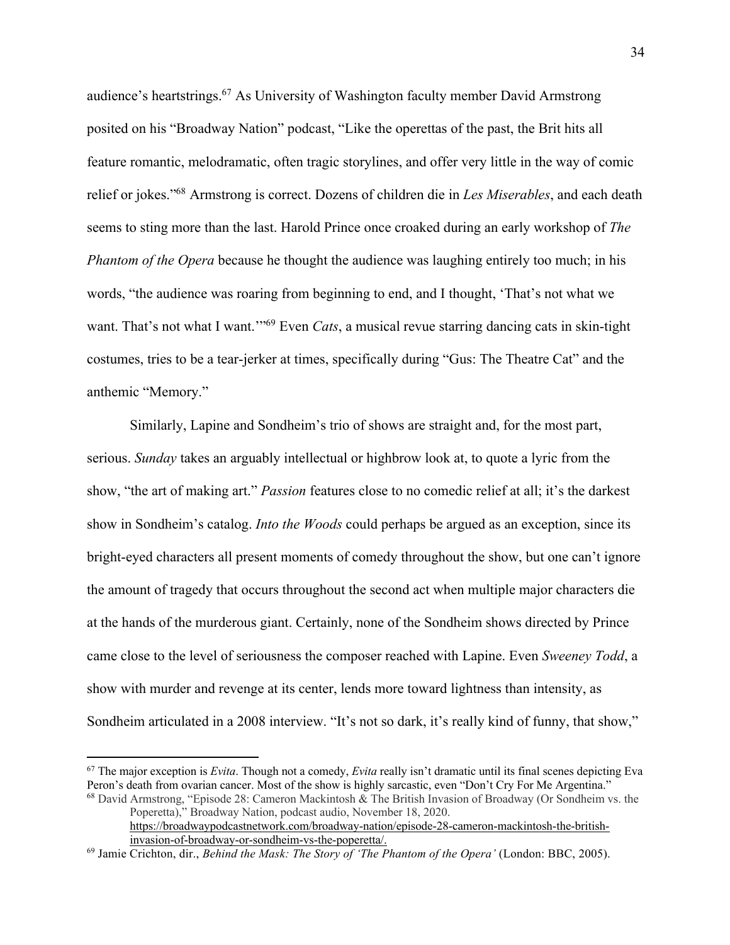audience's heartstrings.<sup>67</sup> As University of Washington faculty member David Armstrong posited on his "Broadway Nation" podcast, "Like the operettas of the past, the Brit hits all feature romantic, melodramatic, often tragic storylines, and offer very little in the way of comic relief or jokes."<sup>68</sup> Armstrong is correct. Dozens of children die in *Les Miserables*, and each death seems to sting more than the last. Harold Prince once croaked during an early workshop of *The Phantom of the Opera* because he thought the audience was laughing entirely too much; in his words, "the audience was roaring from beginning to end, and I thought, 'That's not what we want. That's not what I want.'"<sup>69</sup> Even *Cats*, a musical revue starring dancing cats in skin-tight costumes, tries to be a tear-jerker at times, specifically during "Gus: The Theatre Cat" and the anthemic "Memory."

 Similarly, Lapine and Sondheim's trio of shows are straight and, for the most part, serious. *Sunday* takes an arguably intellectual or highbrow look at, to quote a lyric from the show, "the art of making art." *Passion* features close to no comedic relief at all; it's the darkest show in Sondheim's catalog. *Into the Woods* could perhaps be argued as an exception, since its bright-eyed characters all present moments of comedy throughout the show, but one can't ignore the amount of tragedy that occurs throughout the second act when multiple major characters die at the hands of the murderous giant. Certainly, none of the Sondheim shows directed by Prince came close to the level of seriousness the composer reached with Lapine. Even *Sweeney Todd*, a show with murder and revenge at its center, lends more toward lightness than intensity, as Sondheim articulated in a 2008 interview. "It's not so dark, it's really kind of funny, that show,"

<sup>68</sup> David Armstrong, "Episode 28: Cameron Mackintosh & The British Invasion of Broadway (Or Sondheim vs. the Poperetta)," Broadway Nation, podcast audio, November 18, 2020. https://broadwaypodcastnetwork.com/broadway-nation/episode-28-cameron-mackintosh-the-britishinvasion-of-broadway-or-sondheim-vs-the-poperetta/.

<sup>67</sup> The major exception is *Evita*. Though not a comedy, *Evita* really isn't dramatic until its final scenes depicting Eva Peron's death from ovarian cancer. Most of the show is highly sarcastic, even "Don't Cry For Me Argentina."

<sup>69</sup> Jamie Crichton, dir., *Behind the Mask: The Story of 'The Phantom of the Opera'* (London: BBC, 2005).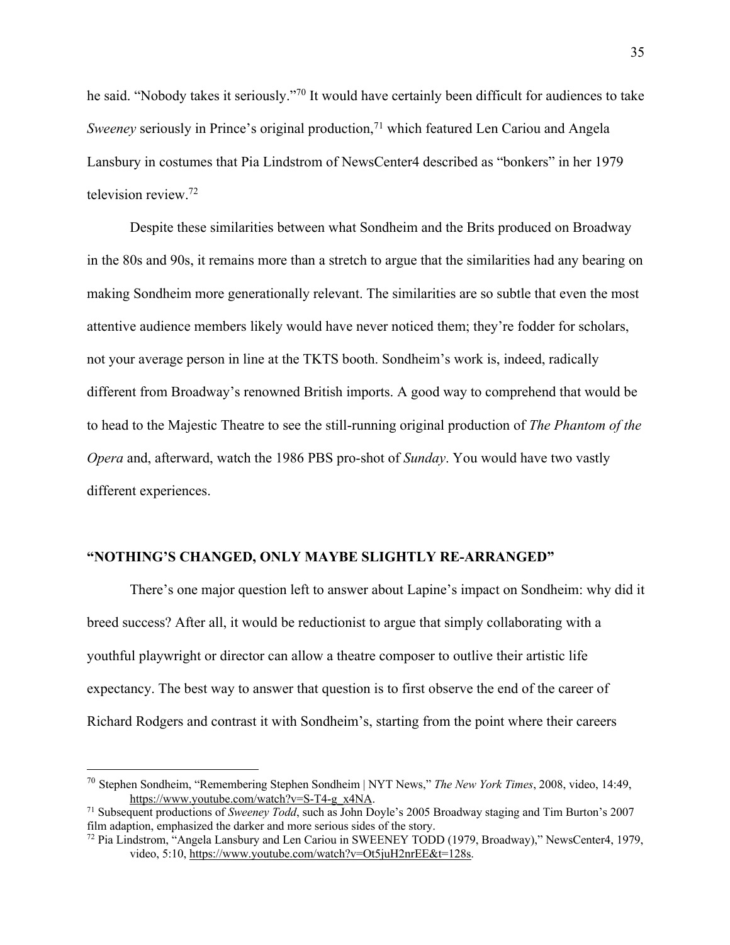he said. "Nobody takes it seriously."<sup>70</sup> It would have certainly been difficult for audiences to take *Sweeney* seriously in Prince's original production,<sup>71</sup> which featured Len Cariou and Angela Lansbury in costumes that Pia Lindstrom of NewsCenter4 described as "bonkers" in her 1979 television review.<sup>72</sup>

 Despite these similarities between what Sondheim and the Brits produced on Broadway in the 80s and 90s, it remains more than a stretch to argue that the similarities had any bearing on making Sondheim more generationally relevant. The similarities are so subtle that even the most attentive audience members likely would have never noticed them; they're fodder for scholars, not your average person in line at the TKTS booth. Sondheim's work is, indeed, radically different from Broadway's renowned British imports. A good way to comprehend that would be to head to the Majestic Theatre to see the still-running original production of *The Phantom of the Opera* and, afterward, watch the 1986 PBS pro-shot of *Sunday*. You would have two vastly different experiences.

# **"NOTHING'S CHANGED, ONLY MAYBE SLIGHTLY RE-ARRANGED"**

There's one major question left to answer about Lapine's impact on Sondheim: why did it breed success? After all, it would be reductionist to argue that simply collaborating with a youthful playwright or director can allow a theatre composer to outlive their artistic life expectancy. The best way to answer that question is to first observe the end of the career of Richard Rodgers and contrast it with Sondheim's, starting from the point where their careers

<sup>70</sup> Stephen Sondheim, "Remembering Stephen Sondheim | NYT News," *The New York Times*, 2008, video, 14:49, https://www.youtube.com/watch?v=S-T4-g\_x4NA.

<sup>71</sup> Subsequent productions of *Sweeney Todd*, such as John Doyle's 2005 Broadway staging and Tim Burton's 2007 film adaption, emphasized the darker and more serious sides of the story.

<sup>72</sup> Pia Lindstrom, "Angela Lansbury and Len Cariou in SWEENEY TODD (1979, Broadway)," NewsCenter4, 1979, video, 5:10, https://www.youtube.com/watch?v=Ot5juH2nrEE&t=128s.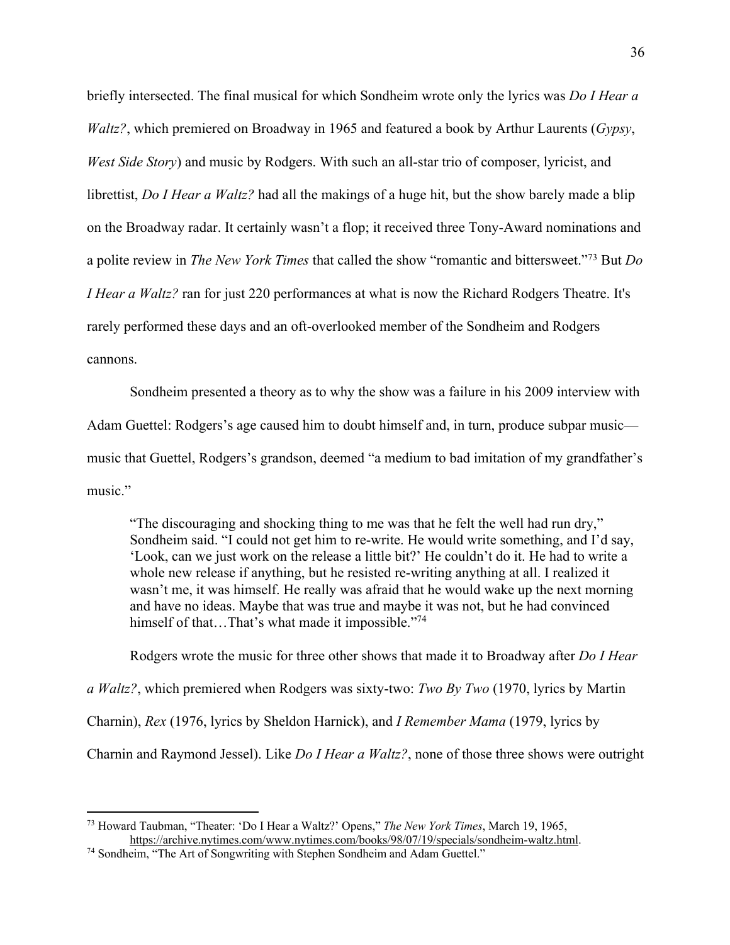briefly intersected. The final musical for which Sondheim wrote only the lyrics was *Do I Hear a Waltz?*, which premiered on Broadway in 1965 and featured a book by Arthur Laurents (*Gypsy*, *West Side Story*) and music by Rodgers. With such an all-star trio of composer, lyricist, and librettist, *Do I Hear a Waltz?* had all the makings of a huge hit, but the show barely made a blip on the Broadway radar. It certainly wasn't a flop; it received three Tony-Award nominations and a polite review in *The New York Times* that called the show "romantic and bittersweet."<sup>73</sup> But *Do I Hear a Waltz?* ran for just 220 performances at what is now the Richard Rodgers Theatre. It's rarely performed these days and an oft-overlooked member of the Sondheim and Rodgers cannons.

 Sondheim presented a theory as to why the show was a failure in his 2009 interview with Adam Guettel: Rodgers's age caused him to doubt himself and, in turn, produce subpar music music that Guettel, Rodgers's grandson, deemed "a medium to bad imitation of my grandfather's music."

"The discouraging and shocking thing to me was that he felt the well had run dry," Sondheim said. "I could not get him to re-write. He would write something, and I'd say, 'Look, can we just work on the release a little bit?' He couldn't do it. He had to write a whole new release if anything, but he resisted re-writing anything at all. I realized it wasn't me, it was himself. He really was afraid that he would wake up the next morning and have no ideas. Maybe that was true and maybe it was not, but he had convinced himself of that...That's what made it impossible."<sup>74</sup>

 Rodgers wrote the music for three other shows that made it to Broadway after *Do I Hear a Waltz?*, which premiered when Rodgers was sixty-two: *Two By Two* (1970, lyrics by Martin Charnin), *Rex* (1976, lyrics by Sheldon Harnick), and *I Remember Mama* (1979, lyrics by Charnin and Raymond Jessel). Like *Do I Hear a Waltz?*, none of those three shows were outright

<sup>73</sup> Howard Taubman, "Theater: 'Do I Hear a Waltz?' Opens," *The New York Times*, March 19, 1965, https://archive.nytimes.com/www.nytimes.com/books/98/07/19/specials/sondheim-waltz.html.

<sup>74</sup> Sondheim, "The Art of Songwriting with Stephen Sondheim and Adam Guettel."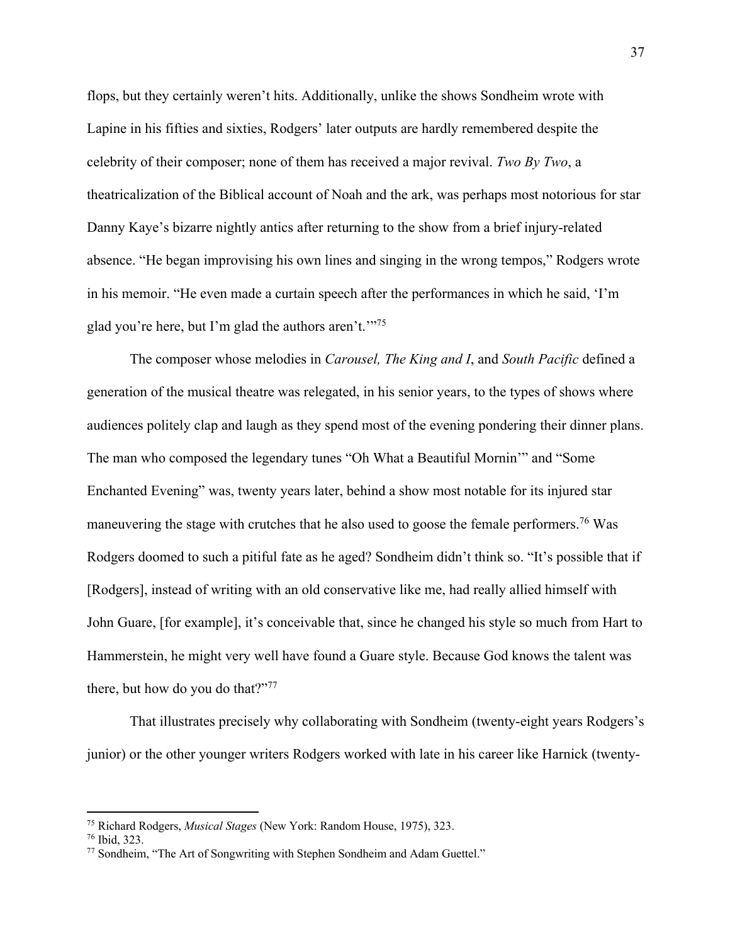flops, but they certainly weren't hits. Additionally, unlike the shows Sondheim wrote with Lapine in his fifties and sixties, Rodgers' later outputs are hardly remembered despite the celebrity of their composer; none of them has received a major revival. *Two By Two*, a theatricalization of the Biblical account of Noah and the ark, was perhaps most notorious for star Danny Kaye's bizarre nightly antics after returning to the show from a brief injury-related absence. "He began improvising his own lines and singing in the wrong tempos," Rodgers wrote in his memoir. "He even made a curtain speech after the performances in which he said, 'I'm glad you're here, but I'm glad the authors aren't.'"<sup>75</sup>

 The composer whose melodies in *Carousel, The King and I*, and *South Pacific* defined a generation of the musical theatre was relegated, in his senior years, to the types of shows where audiences politely clap and laugh as they spend most of the evening pondering their dinner plans. The man who composed the legendary tunes "Oh What a Beautiful Mornin'" and "Some Enchanted Evening" was, twenty years later, behind a show most notable for its injured star maneuvering the stage with crutches that he also used to goose the female performers.<sup>76</sup> Was Rodgers doomed to such a pitiful fate as he aged? Sondheim didn't think so. "It's possible that if [Rodgers], instead of writing with an old conservative like me, had really allied himself with John Guare, [for example], it's conceivable that, since he changed his style so much from Hart to Hammerstein, he might very well have found a Guare style. Because God knows the talent was there, but how do you do that?"<sup>77</sup>

 That illustrates precisely why collaborating with Sondheim (twenty-eight years Rodgers's junior) or the other younger writers Rodgers worked with late in his career like Harnick (twenty-

<sup>75</sup> Richard Rodgers, *Musical Stages* (New York: Random House, 1975), 323.

<sup>76</sup> Ibid, 323.

<sup>77</sup> Sondheim, "The Art of Songwriting with Stephen Sondheim and Adam Guettel."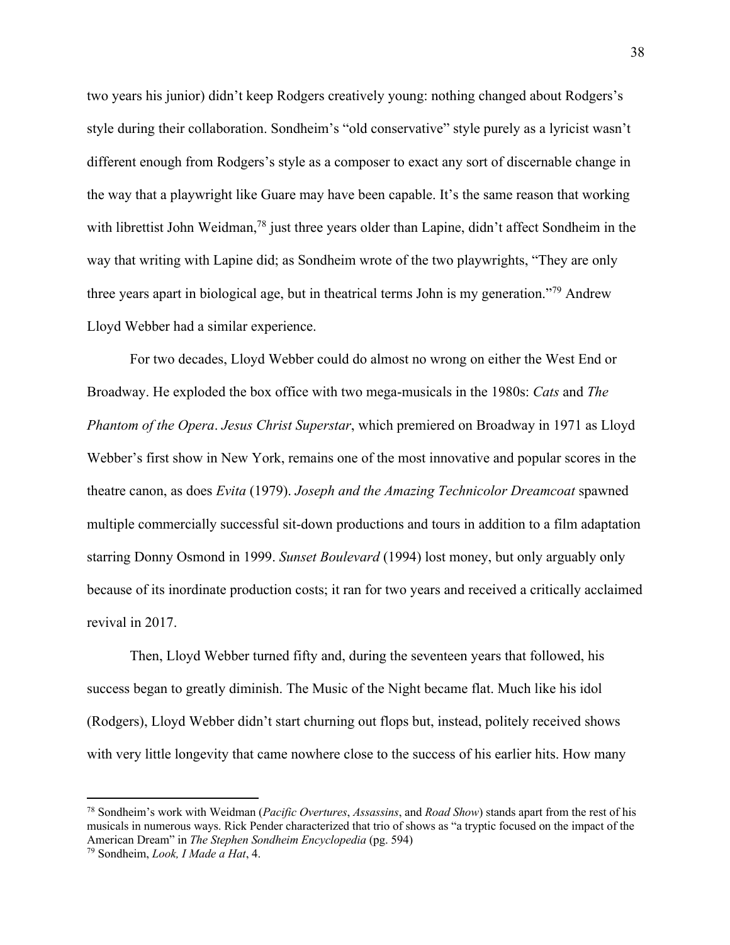two years his junior) didn't keep Rodgers creatively young: nothing changed about Rodgers's style during their collaboration. Sondheim's "old conservative" style purely as a lyricist wasn't different enough from Rodgers's style as a composer to exact any sort of discernable change in the way that a playwright like Guare may have been capable. It's the same reason that working with librettist John Weidman,<sup>78</sup> just three years older than Lapine, didn't affect Sondheim in the way that writing with Lapine did; as Sondheim wrote of the two playwrights, "They are only three years apart in biological age, but in theatrical terms John is my generation."<sup>79</sup> Andrew Lloyd Webber had a similar experience.

For two decades, Lloyd Webber could do almost no wrong on either the West End or Broadway. He exploded the box office with two mega-musicals in the 1980s: *Cats* and *The Phantom of the Opera*. *Jesus Christ Superstar*, which premiered on Broadway in 1971 as Lloyd Webber's first show in New York, remains one of the most innovative and popular scores in the theatre canon, as does *Evita* (1979). *Joseph and the Amazing Technicolor Dreamcoat* spawned multiple commercially successful sit-down productions and tours in addition to a film adaptation starring Donny Osmond in 1999. *Sunset Boulevard* (1994) lost money, but only arguably only because of its inordinate production costs; it ran for two years and received a critically acclaimed revival in 2017.

 Then, Lloyd Webber turned fifty and, during the seventeen years that followed, his success began to greatly diminish. The Music of the Night became flat. Much like his idol (Rodgers), Lloyd Webber didn't start churning out flops but, instead, politely received shows with very little longevity that came nowhere close to the success of his earlier hits. How many

<sup>78</sup> Sondheim's work with Weidman (*Pacific Overtures*, *Assassins*, and *Road Show*) stands apart from the rest of his musicals in numerous ways. Rick Pender characterized that trio of shows as "a tryptic focused on the impact of the American Dream" in *The Stephen Sondheim Encyclopedia* (pg. 594)

<sup>79</sup> Sondheim, *Look, I Made a Hat*, 4.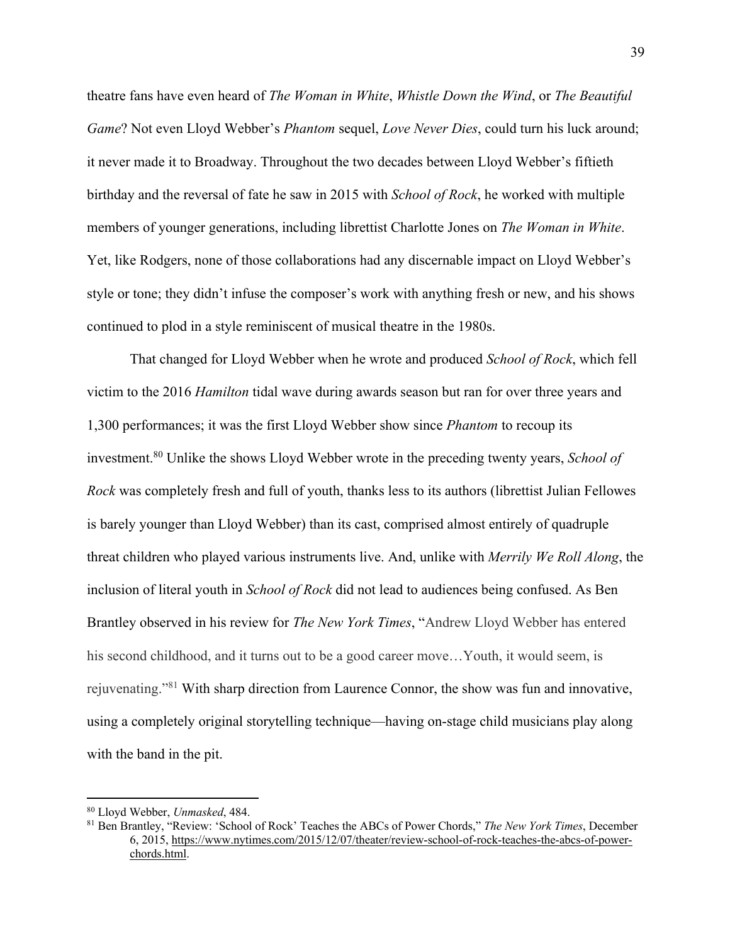theatre fans have even heard of *The Woman in White*, *Whistle Down the Wind*, or *The Beautiful Game*? Not even Lloyd Webber's *Phantom* sequel, *Love Never Dies*, could turn his luck around; it never made it to Broadway. Throughout the two decades between Lloyd Webber's fiftieth birthday and the reversal of fate he saw in 2015 with *School of Rock*, he worked with multiple members of younger generations, including librettist Charlotte Jones on *The Woman in White*. Yet, like Rodgers, none of those collaborations had any discernable impact on Lloyd Webber's style or tone; they didn't infuse the composer's work with anything fresh or new, and his shows continued to plod in a style reminiscent of musical theatre in the 1980s.

 That changed for Lloyd Webber when he wrote and produced *School of Rock*, which fell victim to the 2016 *Hamilton* tidal wave during awards season but ran for over three years and 1,300 performances; it was the first Lloyd Webber show since *Phantom* to recoup its investment.<sup>80</sup> Unlike the shows Lloyd Webber wrote in the preceding twenty years, *School of Rock* was completely fresh and full of youth, thanks less to its authors (librettist Julian Fellowes is barely younger than Lloyd Webber) than its cast, comprised almost entirely of quadruple threat children who played various instruments live. And, unlike with *Merrily We Roll Along*, the inclusion of literal youth in *School of Rock* did not lead to audiences being confused. As Ben Brantley observed in his review for *The New York Times*, "Andrew Lloyd Webber has entered his second childhood, and it turns out to be a good career move…Youth, it would seem, is rejuvenating."<sup>81</sup> With sharp direction from Laurence Connor, the show was fun and innovative, using a completely original storytelling technique—having on-stage child musicians play along with the band in the pit.

<sup>80</sup> Lloyd Webber, *Unmasked*, 484.

<sup>81</sup> Ben Brantley, "Review: 'School of Rock' Teaches the ABCs of Power Chords," *The New York Times*, December 6, 2015, https://www.nytimes.com/2015/12/07/theater/review-school-of-rock-teaches-the-abcs-of-powerchords.html.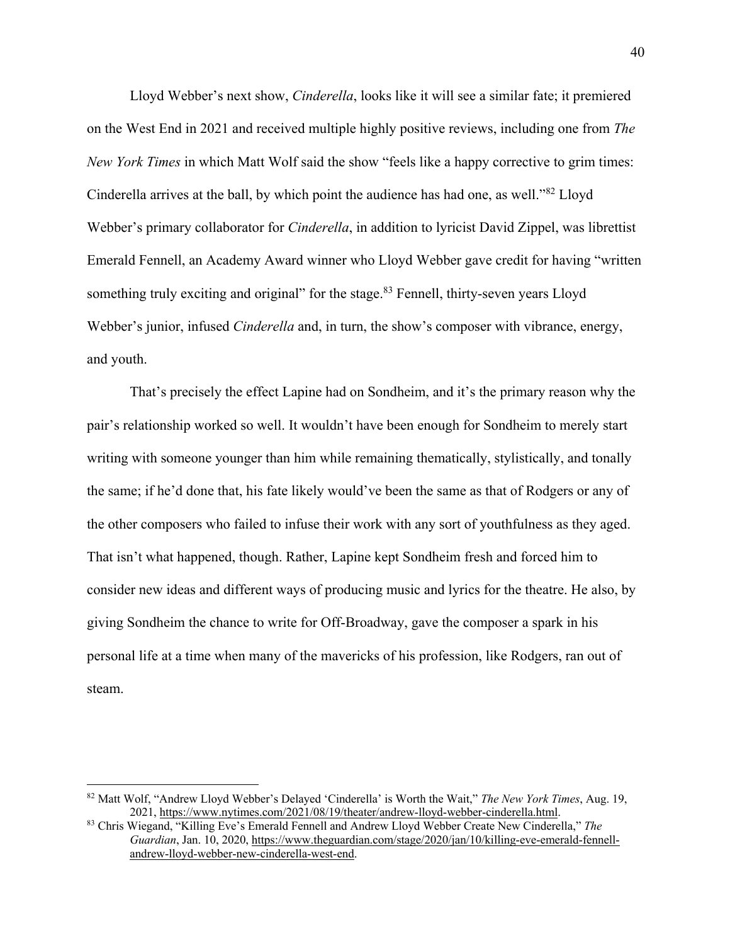Lloyd Webber's next show, *Cinderella*, looks like it will see a similar fate; it premiered on the West End in 2021 and received multiple highly positive reviews, including one from *The New York Times* in which Matt Wolf said the show "feels like a happy corrective to grim times: Cinderella arrives at the ball, by which point the audience has had one, as well."<sup>82</sup> Lloyd Webber's primary collaborator for *Cinderella*, in addition to lyricist David Zippel, was librettist Emerald Fennell, an Academy Award winner who Lloyd Webber gave credit for having "written something truly exciting and original" for the stage.<sup>83</sup> Fennell, thirty-seven years Lloyd Webber's junior, infused *Cinderella* and, in turn, the show's composer with vibrance, energy, and youth.

 That's precisely the effect Lapine had on Sondheim, and it's the primary reason why the pair's relationship worked so well. It wouldn't have been enough for Sondheim to merely start writing with someone younger than him while remaining thematically, stylistically, and tonally the same; if he'd done that, his fate likely would've been the same as that of Rodgers or any of the other composers who failed to infuse their work with any sort of youthfulness as they aged. That isn't what happened, though. Rather, Lapine kept Sondheim fresh and forced him to consider new ideas and different ways of producing music and lyrics for the theatre. He also, by giving Sondheim the chance to write for Off-Broadway, gave the composer a spark in his personal life at a time when many of the mavericks of his profession, like Rodgers, ran out of steam.

<sup>82</sup> Matt Wolf, "Andrew Lloyd Webber's Delayed 'Cinderella' is Worth the Wait," *The New York Times*, Aug. 19, 2021, https://www.nytimes.com/2021/08/19/theater/andrew-lloyd-webber-cinderella.html.

<sup>83</sup> Chris Wiegand, "Killing Eve's Emerald Fennell and Andrew Lloyd Webber Create New Cinderella," *The Guardian*, Jan. 10, 2020, https://www.theguardian.com/stage/2020/jan/10/killing-eve-emerald-fennellandrew-lloyd-webber-new-cinderella-west-end.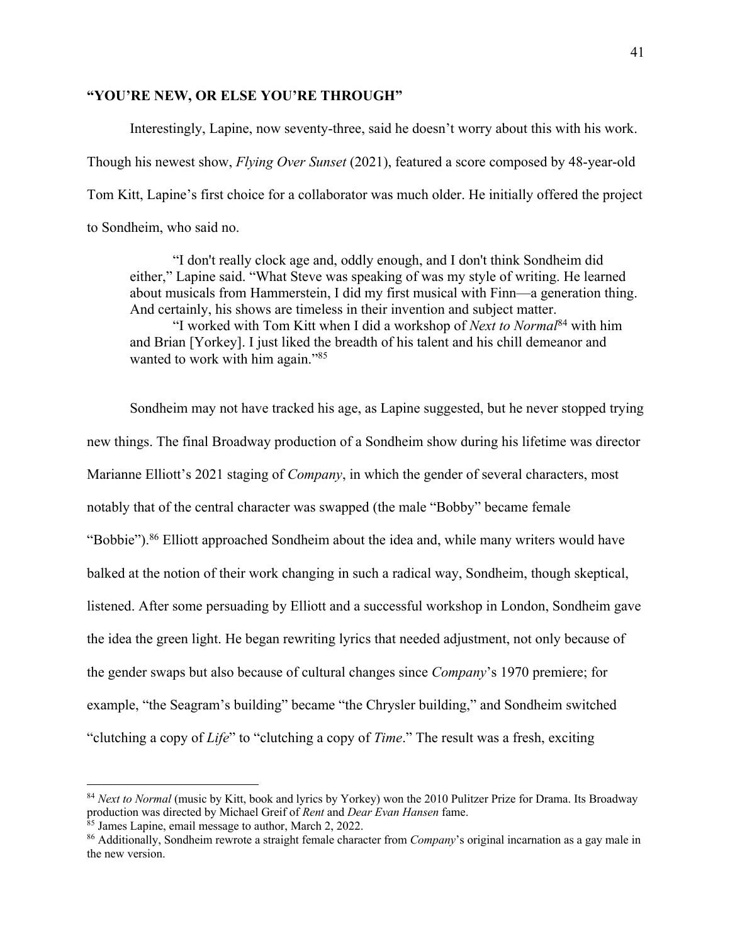### **"YOU'RE NEW, OR ELSE YOU'RE THROUGH"**

 Interestingly, Lapine, now seventy-three, said he doesn't worry about this with his work. Though his newest show, *Flying Over Sunset* (2021), featured a score composed by 48-year-old Tom Kitt, Lapine's first choice for a collaborator was much older. He initially offered the project to Sondheim, who said no.

 "I don't really clock age and, oddly enough, and I don't think Sondheim did either," Lapine said. "What Steve was speaking of was my style of writing. He learned about musicals from Hammerstein, I did my first musical with Finn—a generation thing. And certainly, his shows are timeless in their invention and subject matter.

 "I worked with Tom Kitt when I did a workshop of *Next to Normal*<sup>84</sup> with him and Brian [Yorkey]. I just liked the breadth of his talent and his chill demeanor and wanted to work with him again."<sup>85</sup>

 Sondheim may not have tracked his age, as Lapine suggested, but he never stopped trying new things. The final Broadway production of a Sondheim show during his lifetime was director Marianne Elliott's 2021 staging of *Company*, in which the gender of several characters, most notably that of the central character was swapped (the male "Bobby" became female "Bobbie").<sup>86</sup> Elliott approached Sondheim about the idea and, while many writers would have balked at the notion of their work changing in such a radical way, Sondheim, though skeptical, listened. After some persuading by Elliott and a successful workshop in London, Sondheim gave the idea the green light. He began rewriting lyrics that needed adjustment, not only because of the gender swaps but also because of cultural changes since *Company*'s 1970 premiere; for example, "the Seagram's building" became "the Chrysler building," and Sondheim switched "clutching a copy of *Life*" to "clutching a copy of *Time*." The result was a fresh, exciting

<sup>84</sup> *Next to Normal* (music by Kitt, book and lyrics by Yorkey) won the 2010 Pulitzer Prize for Drama. Its Broadway production was directed by Michael Greif of *Rent* and *Dear Evan Hansen* fame.

 $85$  James Lapine, email message to author, March 2, 2022.

<sup>86</sup> Additionally, Sondheim rewrote a straight female character from *Company*'s original incarnation as a gay male in the new version.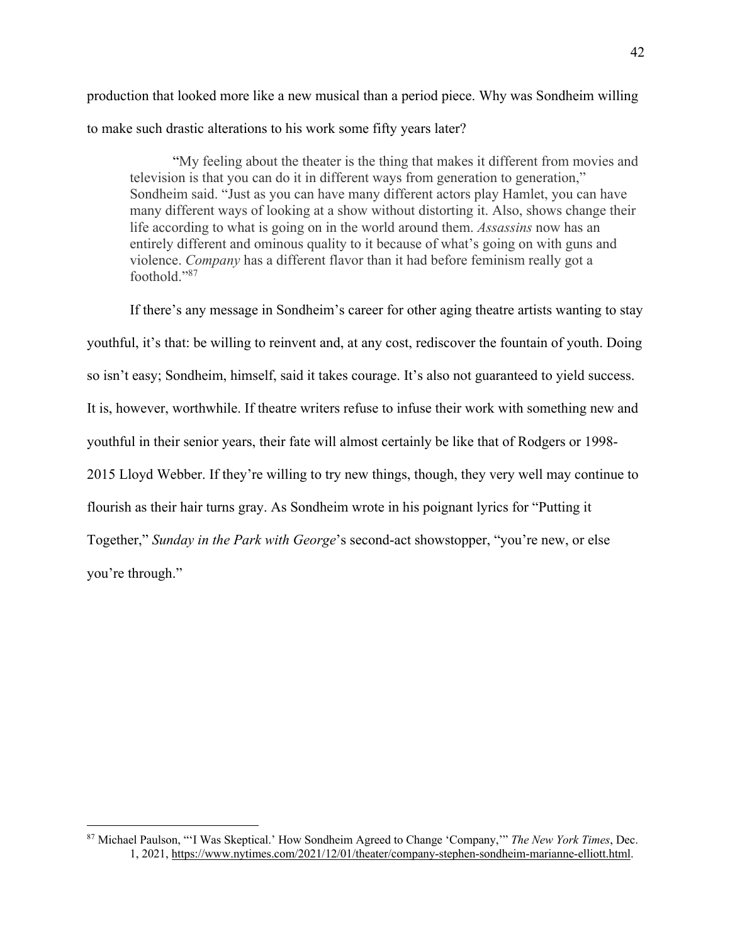production that looked more like a new musical than a period piece. Why was Sondheim willing to make such drastic alterations to his work some fifty years later?

 "My feeling about the theater is the thing that makes it different from movies and television is that you can do it in different ways from generation to generation," Sondheim said. "Just as you can have many different actors play Hamlet, you can have many different ways of looking at a show without distorting it. Also, shows change their life according to what is going on in the world around them. *Assassins* now has an entirely different and ominous quality to it because of what's going on with guns and violence. *Company* has a different flavor than it had before feminism really got a foothold."<sup>87</sup>

 If there's any message in Sondheim's career for other aging theatre artists wanting to stay youthful, it's that: be willing to reinvent and, at any cost, rediscover the fountain of youth. Doing so isn't easy; Sondheim, himself, said it takes courage. It's also not guaranteed to yield success. It is, however, worthwhile. If theatre writers refuse to infuse their work with something new and youthful in their senior years, their fate will almost certainly be like that of Rodgers or 1998- 2015 Lloyd Webber. If they're willing to try new things, though, they very well may continue to flourish as their hair turns gray. As Sondheim wrote in his poignant lyrics for "Putting it Together," *Sunday in the Park with George*'s second-act showstopper, "you're new, or else you're through."

<sup>87</sup> Michael Paulson, "'I Was Skeptical.' How Sondheim Agreed to Change 'Company,'" *The New York Times*, Dec. 1, 2021, https://www.nytimes.com/2021/12/01/theater/company-stephen-sondheim-marianne-elliott.html.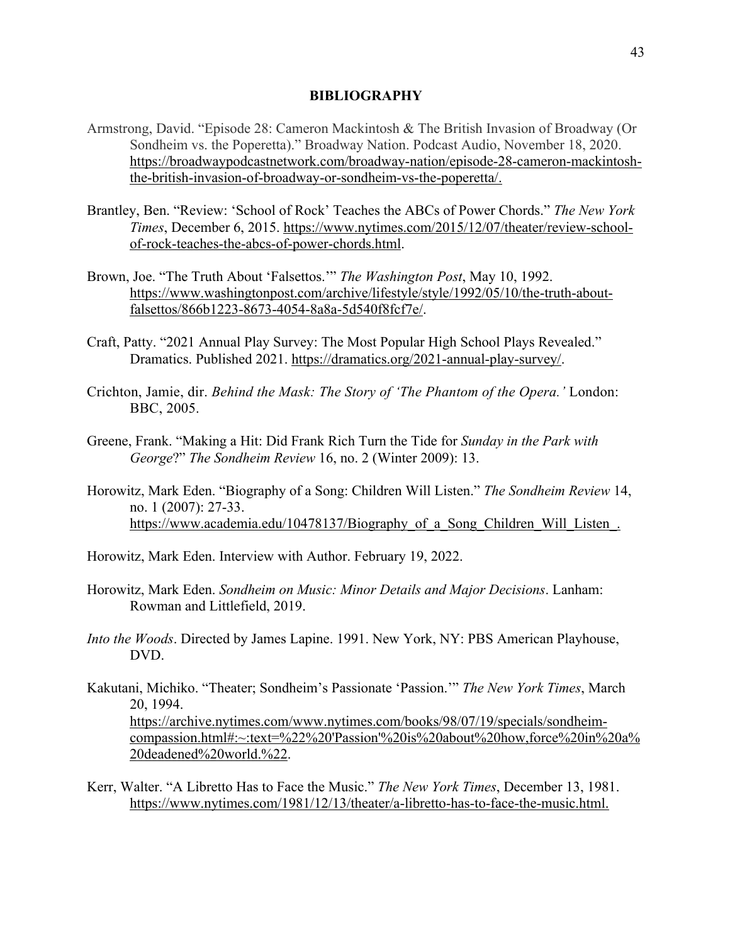### **BIBLIOGRAPHY**

- Armstrong, David. "Episode 28: Cameron Mackintosh & The British Invasion of Broadway (Or Sondheim vs. the Poperetta)." Broadway Nation. Podcast Audio, November 18, 2020. https://broadwaypodcastnetwork.com/broadway-nation/episode-28-cameron-mackintoshthe-british-invasion-of-broadway-or-sondheim-vs-the-poperetta/.
- Brantley, Ben. "Review: 'School of Rock' Teaches the ABCs of Power Chords." *The New York Times*, December 6, 2015. https://www.nytimes.com/2015/12/07/theater/review-schoolof-rock-teaches-the-abcs-of-power-chords.html.
- Brown, Joe. "The Truth About 'Falsettos.'" *The Washington Post*, May 10, 1992. https://www.washingtonpost.com/archive/lifestyle/style/1992/05/10/the-truth-aboutfalsettos/866b1223-8673-4054-8a8a-5d540f8fcf7e/.
- Craft, Patty. "2021 Annual Play Survey: The Most Popular High School Plays Revealed." Dramatics. Published 2021. https://dramatics.org/2021-annual-play-survey/.
- Crichton, Jamie, dir. *Behind the Mask: The Story of 'The Phantom of the Opera.'* London: BBC, 2005.
- Greene, Frank. "Making a Hit: Did Frank Rich Turn the Tide for *Sunday in the Park with George*?" *The Sondheim Review* 16, no. 2 (Winter 2009): 13.
- Horowitz, Mark Eden. "Biography of a Song: Children Will Listen." *The Sondheim Review* 14, no. 1 (2007): 27-33. https://www.academia.edu/10478137/Biography\_of\_a\_Song\_Children\_Will\_Listen\_.
- Horowitz, Mark Eden. Interview with Author. February 19, 2022.
- Horowitz, Mark Eden. *Sondheim on Music: Minor Details and Major Decisions*. Lanham: Rowman and Littlefield, 2019.
- *Into the Woods*. Directed by James Lapine. 1991. New York, NY: PBS American Playhouse, DVD.
- Kakutani, Michiko. "Theater; Sondheim's Passionate 'Passion.'" *The New York Times*, March 20, 1994. https://archive.nytimes.com/www.nytimes.com/books/98/07/19/specials/sondheimcompassion.html#:~:text=%22%20'Passion'%20is%20about%20how,force%20in%20a% 20deadened%20world.%22.
- Kerr, Walter. "A Libretto Has to Face the Music." *The New York Times*, December 13, 1981. https://www.nytimes.com/1981/12/13/theater/a-libretto-has-to-face-the-music.html.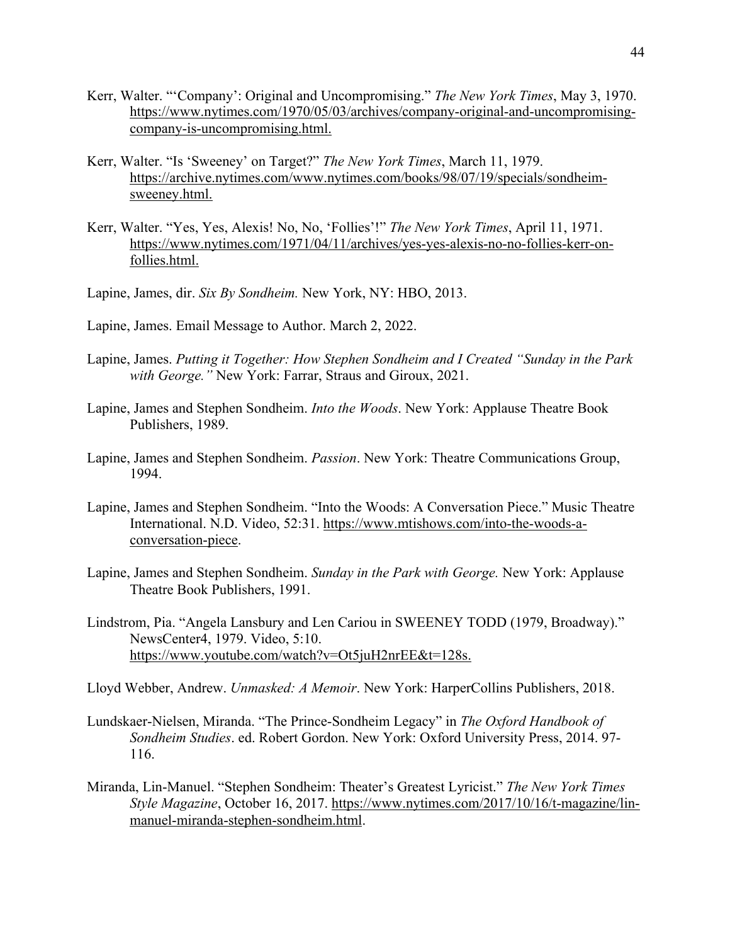- Kerr, Walter. "'Company': Original and Uncompromising." *The New York Times*, May 3, 1970. https://www.nytimes.com/1970/05/03/archives/company-original-and-uncompromisingcompany-is-uncompromising.html.
- Kerr, Walter. "Is 'Sweeney' on Target?" *The New York Times*, March 11, 1979. https://archive.nytimes.com/www.nytimes.com/books/98/07/19/specials/sondheimsweeney.html.
- Kerr, Walter. "Yes, Yes, Alexis! No, No, 'Follies'!" *The New York Times*, April 11, 1971. https://www.nytimes.com/1971/04/11/archives/yes-yes-alexis-no-no-follies-kerr-onfollies.html.
- Lapine, James, dir. *Six By Sondheim.* New York, NY: HBO, 2013.
- Lapine, James. Email Message to Author. March 2, 2022.
- Lapine, James. *Putting it Together: How Stephen Sondheim and I Created "Sunday in the Park with George."* New York: Farrar, Straus and Giroux, 2021.
- Lapine, James and Stephen Sondheim. *Into the Woods*. New York: Applause Theatre Book Publishers, 1989.
- Lapine, James and Stephen Sondheim. *Passion*. New York: Theatre Communications Group, 1994.
- Lapine, James and Stephen Sondheim. "Into the Woods: A Conversation Piece." Music Theatre International. N.D. Video, 52:31. https://www.mtishows.com/into-the-woods-aconversation-piece.
- Lapine, James and Stephen Sondheim. *Sunday in the Park with George.* New York: Applause Theatre Book Publishers, 1991.
- Lindstrom, Pia. "Angela Lansbury and Len Cariou in SWEENEY TODD (1979, Broadway)." NewsCenter4, 1979. Video, 5:10. https://www.youtube.com/watch?v=Ot5juH2nrEE&t=128s.
- Lloyd Webber, Andrew. *Unmasked: A Memoir*. New York: HarperCollins Publishers, 2018.
- Lundskaer-Nielsen, Miranda. "The Prince-Sondheim Legacy" in *The Oxford Handbook of Sondheim Studies*. ed. Robert Gordon. New York: Oxford University Press, 2014. 97- 116.
- Miranda, Lin-Manuel. "Stephen Sondheim: Theater's Greatest Lyricist." *The New York Times Style Magazine*, October 16, 2017. https://www.nytimes.com/2017/10/16/t-magazine/linmanuel-miranda-stephen-sondheim.html.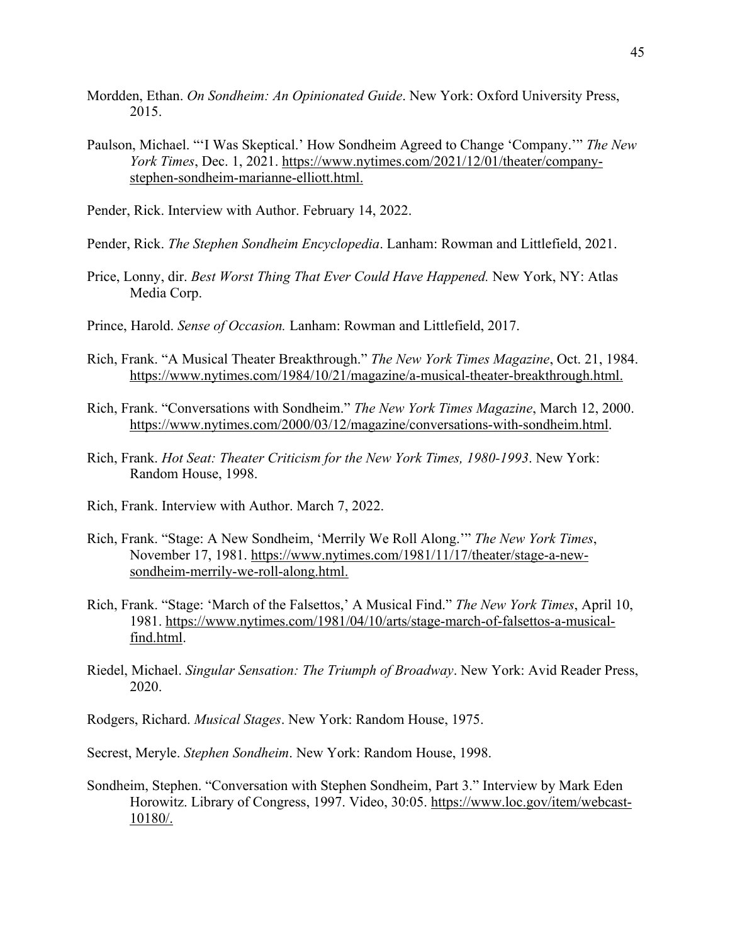- Mordden, Ethan. *On Sondheim: An Opinionated Guide*. New York: Oxford University Press, 2015.
- Paulson, Michael. "'I Was Skeptical.' How Sondheim Agreed to Change 'Company.'" *The New York Times*, Dec. 1, 2021. https://www.nytimes.com/2021/12/01/theater/companystephen-sondheim-marianne-elliott.html.
- Pender, Rick. Interview with Author. February 14, 2022.
- Pender, Rick. *The Stephen Sondheim Encyclopedia*. Lanham: Rowman and Littlefield, 2021.
- Price, Lonny, dir. *Best Worst Thing That Ever Could Have Happened.* New York, NY: Atlas Media Corp.
- Prince, Harold. *Sense of Occasion.* Lanham: Rowman and Littlefield, 2017.
- Rich, Frank. "A Musical Theater Breakthrough." *The New York Times Magazine*, Oct. 21, 1984. https://www.nytimes.com/1984/10/21/magazine/a-musical-theater-breakthrough.html.
- Rich, Frank. "Conversations with Sondheim." *The New York Times Magazine*, March 12, 2000. https://www.nytimes.com/2000/03/12/magazine/conversations-with-sondheim.html.
- Rich, Frank. *Hot Seat: Theater Criticism for the New York Times, 1980-1993*. New York: Random House, 1998.
- Rich, Frank. Interview with Author. March 7, 2022.
- Rich, Frank. "Stage: A New Sondheim, 'Merrily We Roll Along.'" *The New York Times*, November 17, 1981. https://www.nytimes.com/1981/11/17/theater/stage-a-newsondheim-merrily-we-roll-along.html.
- Rich, Frank. "Stage: 'March of the Falsettos,' A Musical Find." *The New York Times*, April 10, 1981. https://www.nytimes.com/1981/04/10/arts/stage-march-of-falsettos-a-musicalfind.html.
- Riedel, Michael. *Singular Sensation: The Triumph of Broadway*. New York: Avid Reader Press, 2020.
- Rodgers, Richard. *Musical Stages*. New York: Random House, 1975.
- Secrest, Meryle. *Stephen Sondheim*. New York: Random House, 1998.
- Sondheim, Stephen. "Conversation with Stephen Sondheim, Part 3." Interview by Mark Eden Horowitz. Library of Congress, 1997. Video, 30:05. https://www.loc.gov/item/webcast-10180/.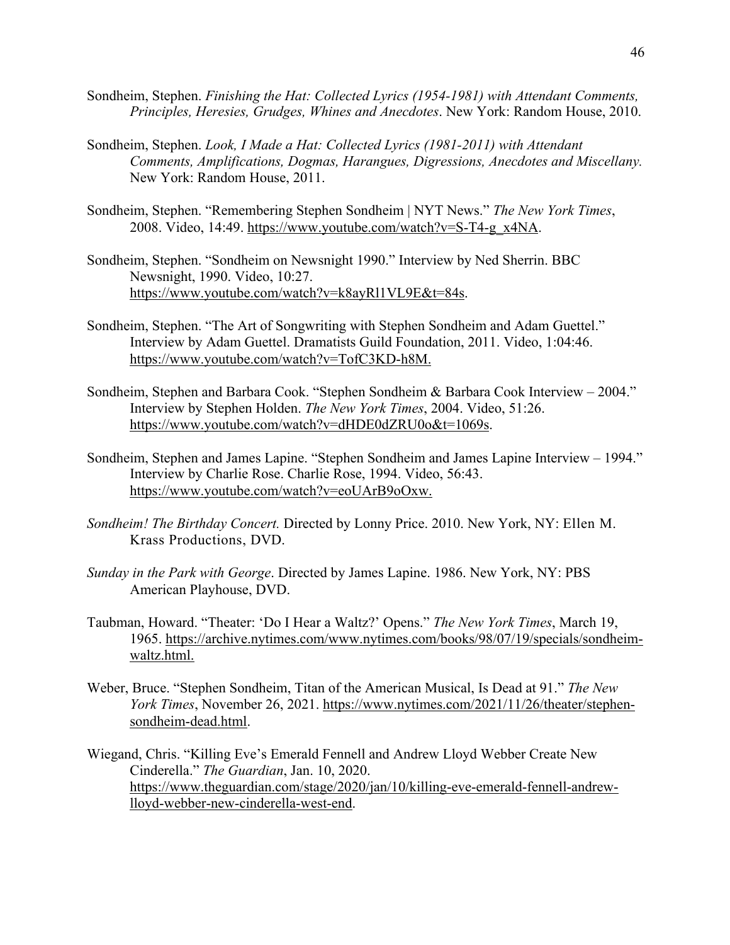- Sondheim, Stephen. *Finishing the Hat: Collected Lyrics (1954-1981) with Attendant Comments, Principles, Heresies, Grudges, Whines and Anecdotes*. New York: Random House, 2010.
- Sondheim, Stephen. *Look, I Made a Hat: Collected Lyrics (1981-2011) with Attendant Comments, Amplifications, Dogmas, Harangues, Digressions, Anecdotes and Miscellany.*  New York: Random House, 2011.
- Sondheim, Stephen. "Remembering Stephen Sondheim | NYT News." *The New York Times*, 2008. Video, 14:49. https://www.youtube.com/watch?v=S-T4-g\_x4NA.
- Sondheim, Stephen. "Sondheim on Newsnight 1990." Interview by Ned Sherrin. BBC Newsnight, 1990. Video, 10:27. https://www.youtube.com/watch?v=k8ayRl1VL9E&t=84s.
- Sondheim, Stephen. "The Art of Songwriting with Stephen Sondheim and Adam Guettel." Interview by Adam Guettel. Dramatists Guild Foundation, 2011. Video, 1:04:46. https://www.youtube.com/watch?v=TofC3KD-h8M.
- Sondheim, Stephen and Barbara Cook. "Stephen Sondheim & Barbara Cook Interview 2004." Interview by Stephen Holden. *The New York Times*, 2004. Video, 51:26. https://www.youtube.com/watch?v=dHDE0dZRU0o&t=1069s.
- Sondheim, Stephen and James Lapine. "Stephen Sondheim and James Lapine Interview 1994." Interview by Charlie Rose. Charlie Rose, 1994. Video, 56:43. https://www.youtube.com/watch?v=eoUArB9oOxw.
- *Sondheim! The Birthday Concert.* Directed by Lonny Price. 2010. New York, NY: Ellen M. Krass Productions, DVD.
- *Sunday in the Park with George*. Directed by James Lapine. 1986. New York, NY: PBS American Playhouse, DVD.
- Taubman, Howard. "Theater: 'Do I Hear a Waltz?' Opens." *The New York Times*, March 19, 1965. https://archive.nytimes.com/www.nytimes.com/books/98/07/19/specials/sondheimwaltz.html.
- Weber, Bruce. "Stephen Sondheim, Titan of the American Musical, Is Dead at 91." *The New York Times*, November 26, 2021. https://www.nytimes.com/2021/11/26/theater/stephensondheim-dead.html.
- Wiegand, Chris. "Killing Eve's Emerald Fennell and Andrew Lloyd Webber Create New Cinderella." *The Guardian*, Jan. 10, 2020. https://www.theguardian.com/stage/2020/jan/10/killing-eve-emerald-fennell-andrewlloyd-webber-new-cinderella-west-end.